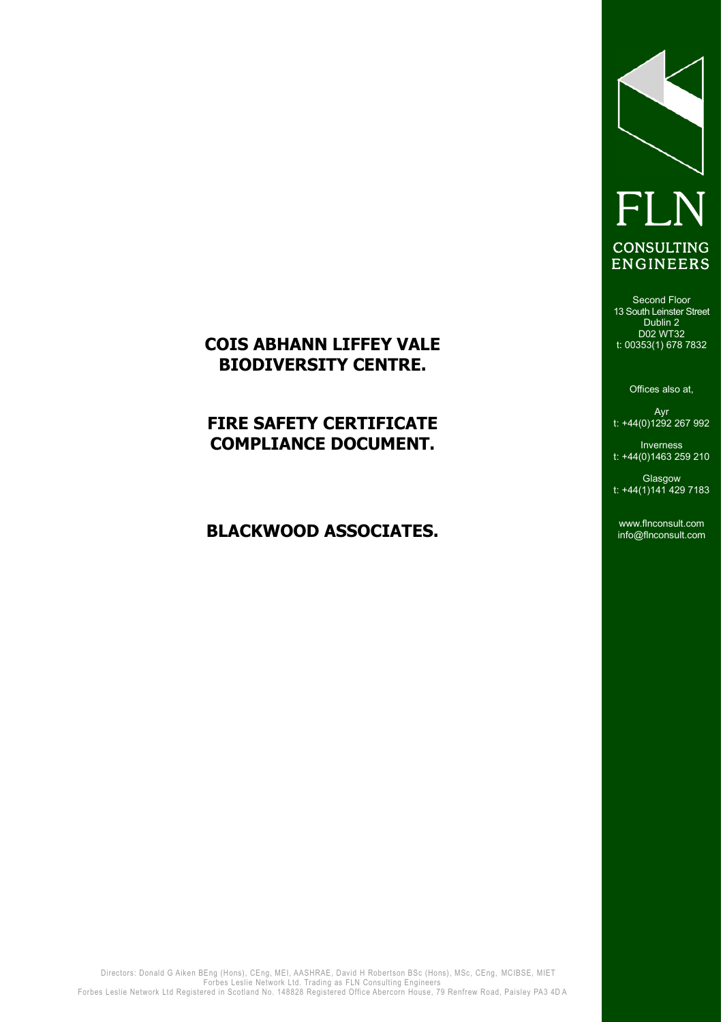# FLN **CONSULTING ENGINEERS**

# **COIS ABHANN LIFFEY VALE BIODIVERSITY CENTRE.**

# **FIRE SAFETY CERTIFICATE COMPLIANCE DOCUMENT.**

# **BLACKWOOD ASSOCIATES.**

Second Floor 13 South Leinster Street Dublin 2 D02 WT32 t: 00353(1) 678 7832

Offices also at,

Ayr t: +44(0)1292 267 992

Inverness t: +44(0)1463 259 210

**Glasgow** t: +44(1)141 429 7183

www.flnconsult.com info@flnconsult.com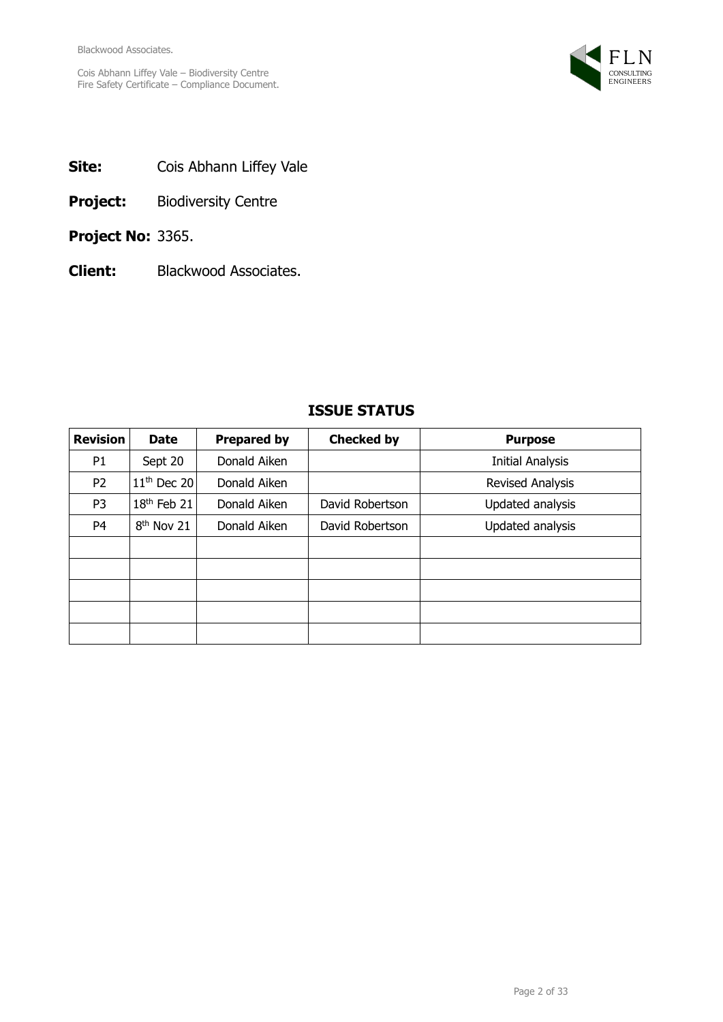

- **Site:** Cois Abhann Liffey Vale
- **Project:** Biodiversity Centre
- **Project No:** 3365.
- **Client:** Blackwood Associates.

| <b>Revision</b> | <b>Date</b>             | <b>Prepared by</b> | <b>Checked by</b> | <b>Purpose</b>          |
|-----------------|-------------------------|--------------------|-------------------|-------------------------|
| P <sub>1</sub>  | Sept 20                 | Donald Aiken       |                   | <b>Initial Analysis</b> |
| P <sub>2</sub>  | $11th$ Dec 20           | Donald Aiken       |                   | Revised Analysis        |
| P <sub>3</sub>  | 18 <sup>th</sup> Feb 21 | Donald Aiken       | David Robertson   | Updated analysis        |
| P <sub>4</sub>  | 8 <sup>th</sup> Nov 21  | Donald Aiken       | David Robertson   | Updated analysis        |
|                 |                         |                    |                   |                         |
|                 |                         |                    |                   |                         |
|                 |                         |                    |                   |                         |
|                 |                         |                    |                   |                         |
|                 |                         |                    |                   |                         |

# **ISSUE STATUS**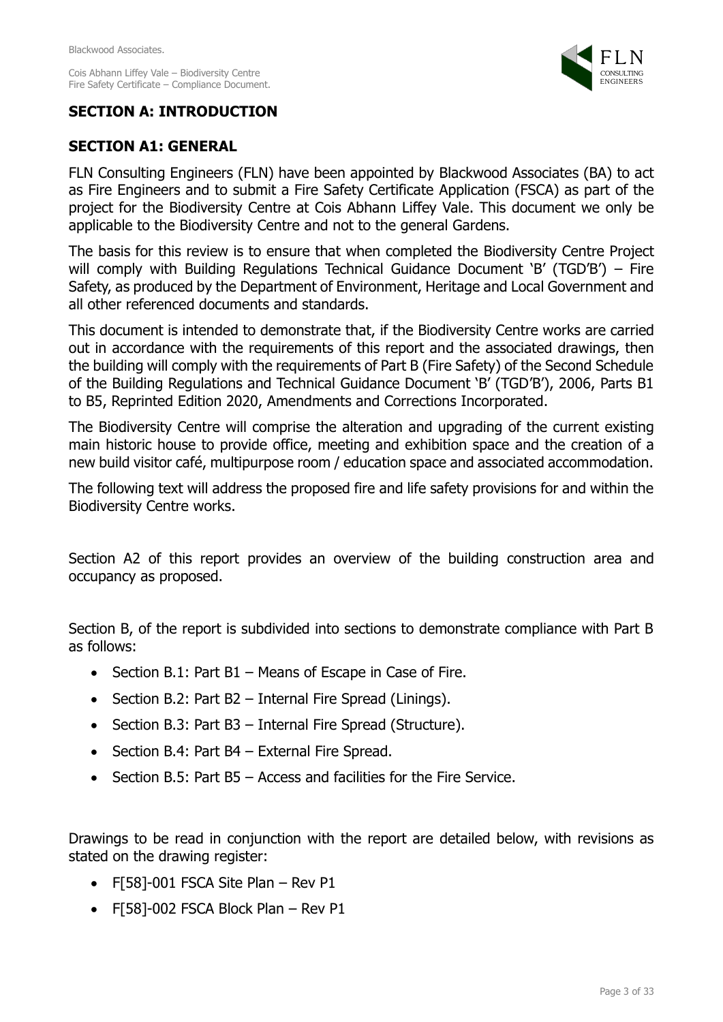

# **SECTION A: INTRODUCTION**

# **SECTION A1: GENERAL**

FLN Consulting Engineers (FLN) have been appointed by Blackwood Associates (BA) to act as Fire Engineers and to submit a Fire Safety Certificate Application (FSCA) as part of the project for the Biodiversity Centre at Cois Abhann Liffey Vale. This document we only be applicable to the Biodiversity Centre and not to the general Gardens.

The basis for this review is to ensure that when completed the Biodiversity Centre Project will comply with Building Regulations Technical Guidance Document 'B' (TGD'B') – Fire Safety, as produced by the Department of Environment, Heritage and Local Government and all other referenced documents and standards.

This document is intended to demonstrate that, if the Biodiversity Centre works are carried out in accordance with the requirements of this report and the associated drawings, then the building will comply with the requirements of Part B (Fire Safety) of the Second Schedule of the Building Regulations and Technical Guidance Document 'B' (TGD'B'), 2006, Parts B1 to B5, Reprinted Edition 2020, Amendments and Corrections Incorporated.

The Biodiversity Centre will comprise the alteration and upgrading of the current existing main historic house to provide office, meeting and exhibition space and the creation of a new build visitor café, multipurpose room / education space and associated accommodation.

The following text will address the proposed fire and life safety provisions for and within the Biodiversity Centre works.

Section A2 of this report provides an overview of the building construction area and occupancy as proposed.

Section B, of the report is subdivided into sections to demonstrate compliance with Part B as follows:

- Section B.1: Part B1 Means of Escape in Case of Fire.
- Section B.2: Part B2 Internal Fire Spread (Linings).
- Section B.3: Part B3 Internal Fire Spread (Structure).
- Section B.4: Part B4 External Fire Spread.
- Section B.5: Part B5 Access and facilities for the Fire Service.

Drawings to be read in conjunction with the report are detailed below, with revisions as stated on the drawing register:

- F[58]-001 FSCA Site Plan Rev P1
- F[58]-002 FSCA Block Plan Rev P1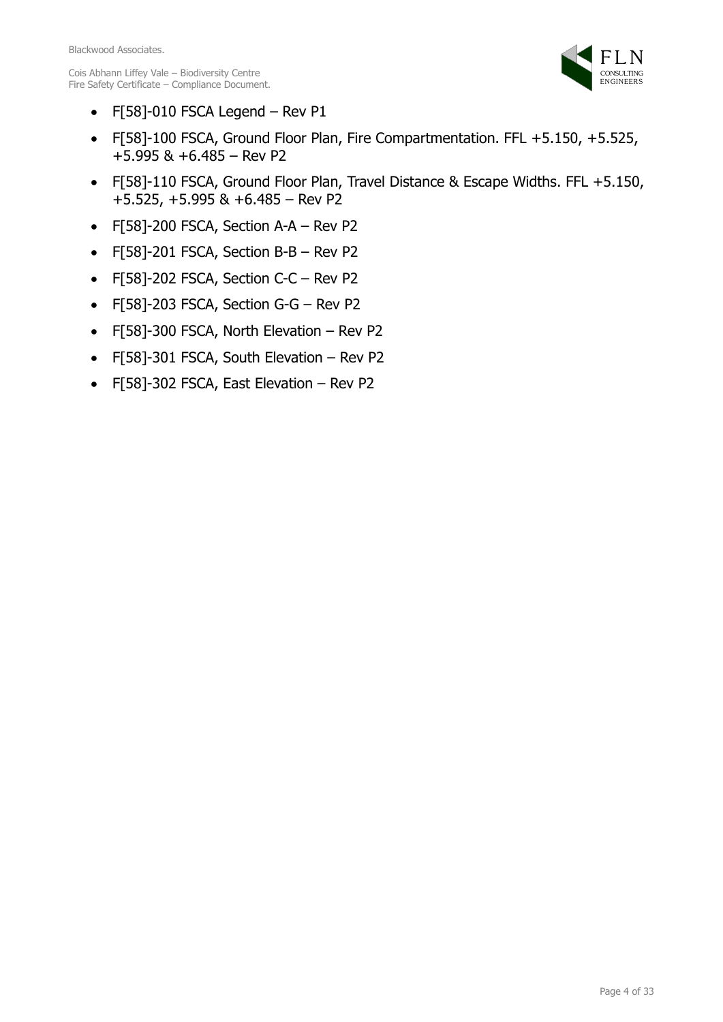

- F[58]-010 FSCA Legend Rev P1
- F[58]-100 FSCA, Ground Floor Plan, Fire Compartmentation. FFL +5.150, +5.525, +5.995 & +6.485 – Rev P2
- F[58]-110 FSCA, Ground Floor Plan, Travel Distance & Escape Widths. FFL +5.150, +5.525, +5.995 & +6.485 – Rev P2
- F[58]-200 FSCA, Section A-A Rev P2
- F[58]-201 FSCA, Section B-B Rev P2
- F[58]-202 FSCA, Section C-C Rev P2
- F[58]-203 FSCA, Section G-G Rev P2
- F[58]-300 FSCA, North Elevation Rev P2
- F[58]-301 FSCA, South Elevation Rev P2
- F[58]-302 FSCA, East Elevation Rev P2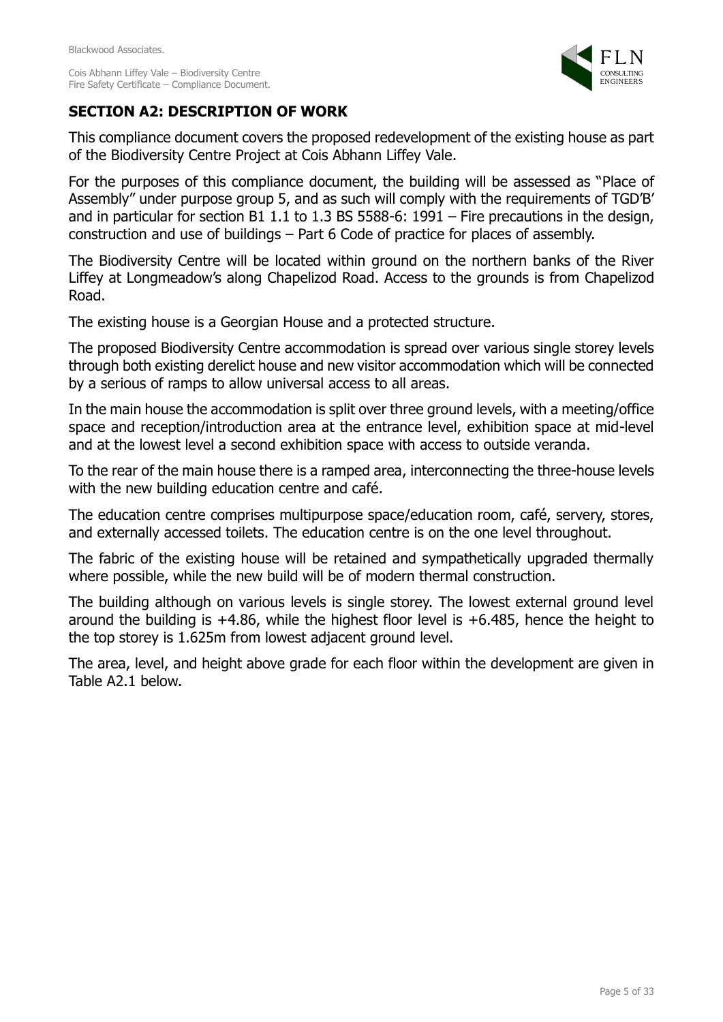

# **SECTION A2: DESCRIPTION OF WORK**

This compliance document covers the proposed redevelopment of the existing house as part of the Biodiversity Centre Project at Cois Abhann Liffey Vale.

For the purposes of this compliance document, the building will be assessed as "Place of Assembly" under purpose group 5, and as such will comply with the requirements of TGD'B' and in particular for section B1 1.1 to 1.3 BS 5588-6: 1991 – Fire precautions in the design, construction and use of buildings – Part 6 Code of practice for places of assembly.

The Biodiversity Centre will be located within ground on the northern banks of the River Liffey at Longmeadow's along Chapelizod Road. Access to the grounds is from Chapelizod Road.

The existing house is a Georgian House and a protected structure.

The proposed Biodiversity Centre accommodation is spread over various single storey levels through both existing derelict house and new visitor accommodation which will be connected by a serious of ramps to allow universal access to all areas.

In the main house the accommodation is split over three ground levels, with a meeting/office space and reception/introduction area at the entrance level, exhibition space at mid-level and at the lowest level a second exhibition space with access to outside veranda.

To the rear of the main house there is a ramped area, interconnecting the three-house levels with the new building education centre and café.

The education centre comprises multipurpose space/education room, café, servery, stores, and externally accessed toilets. The education centre is on the one level throughout.

The fabric of the existing house will be retained and sympathetically upgraded thermally where possible, while the new build will be of modern thermal construction.

The building although on various levels is single storey. The lowest external ground level around the building is  $+4.86$ , while the highest floor level is  $+6.485$ , hence the height to the top storey is 1.625m from lowest adjacent ground level.

The area, level, and height above grade for each floor within the development are given in Table A2.1 below.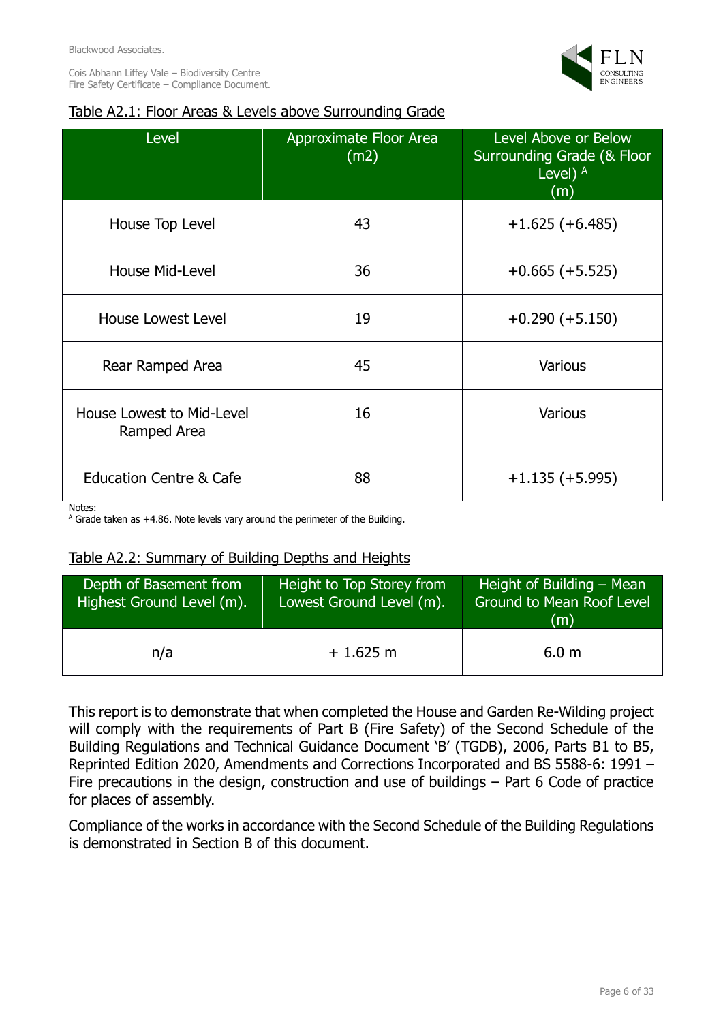

# Table A2.1: Floor Areas & Levels above Surrounding Grade

| Level                                        | Approximate Floor Area<br>(m2) | Level Above or Below<br><b>Surrounding Grade (&amp; Floor</b><br>Level) $A$<br>(m) |
|----------------------------------------------|--------------------------------|------------------------------------------------------------------------------------|
| House Top Level                              | 43                             | $+1.625 (+6.485)$                                                                  |
| <b>House Mid-Level</b>                       | 36                             | $+0.665 (+5.525)$                                                                  |
| <b>House Lowest Level</b>                    | 19                             | $+0.290 (+5.150)$                                                                  |
| Rear Ramped Area                             | 45                             | <b>Various</b>                                                                     |
| House Lowest to Mid-Level<br>Ramped Area     | 16                             | <b>Various</b>                                                                     |
| <b>Education Centre &amp; Cafe</b><br>Notes: | 88                             | $+1.135 (+5.995)$                                                                  |

 $^{\circ}$  Grade taken as +4.86. Note levels vary around the perimeter of the Building.

### Table A2.2: Summary of Building Depths and Heights

| Depth of Basement from<br>Highest Ground Level (m). | Height to Top Storey from<br>Lowest Ground Level (m). | Height of Building – Mean<br><b>Ground to Mean Roof Level</b><br>(m) |
|-----------------------------------------------------|-------------------------------------------------------|----------------------------------------------------------------------|
| n/a                                                 | $+1.625$ m                                            | 6.0 <sub>m</sub>                                                     |

This report is to demonstrate that when completed the House and Garden Re-Wilding project will comply with the requirements of Part B (Fire Safety) of the Second Schedule of the Building Regulations and Technical Guidance Document 'B' (TGDB), 2006, Parts B1 to B5, Reprinted Edition 2020, Amendments and Corrections Incorporated and BS 5588-6: 1991 – Fire precautions in the design, construction and use of buildings – Part 6 Code of practice for places of assembly.

Compliance of the works in accordance with the Second Schedule of the Building Regulations is demonstrated in Section B of this document.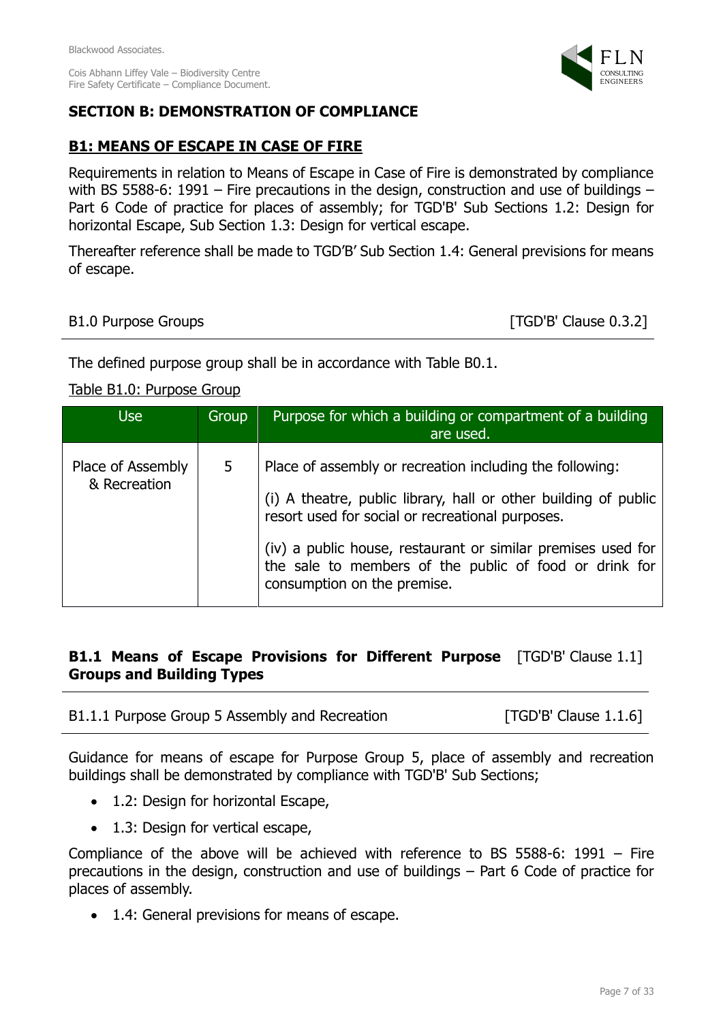Fire Safety Certificate – Compliance Document.



# **SECTION B: DEMONSTRATION OF COMPLIANCE**

# **B1: MEANS OF ESCAPE IN CASE OF FIRE**

Requirements in relation to Means of Escape in Case of Fire is demonstrated by compliance with BS 5588-6: 1991 – Fire precautions in the design, construction and use of buildings – Part 6 Code of practice for places of assembly; for TGD'B' Sub Sections 1.2: Design for horizontal Escape, Sub Section 1.3: Design for vertical escape.

Thereafter reference shall be made to TGD'B' Sub Section 1.4: General previsions for means of escape.

### B1.0 Purpose Groups **and Service Contract Contract Contract Contract Contract Contract Contract Contract Contract Contract Contract Contract Contract Contract Contract Contract Contract Contract Contract Contract Contract**

The defined purpose group shall be in accordance with Table B0.1.

### Table B1.0: Purpose Group

| <b>Use</b>                        | Group | Purpose for which a building or compartment of a building<br>are used.                                                                                                                                                                                                                                                                   |
|-----------------------------------|-------|------------------------------------------------------------------------------------------------------------------------------------------------------------------------------------------------------------------------------------------------------------------------------------------------------------------------------------------|
| Place of Assembly<br>& Recreation | 5     | Place of assembly or recreation including the following:<br>(i) A theatre, public library, hall or other building of public<br>resort used for social or recreational purposes.<br>(iv) a public house, restaurant or similar premises used for<br>the sale to members of the public of food or drink for<br>consumption on the premise. |

### **B1.1 Means of Escape Provisions for Different Purpose** [TGD'B' Clause 1.1] **Groups and Building Types**

| B1.1.1 Purpose Group 5 Assembly and Recreation | $[TGD'B'$ Clause $1.1.6$ ] |
|------------------------------------------------|----------------------------|
|------------------------------------------------|----------------------------|

Guidance for means of escape for Purpose Group 5, place of assembly and recreation buildings shall be demonstrated by compliance with TGD'B' Sub Sections;

- 1.2: Design for horizontal Escape,
- 1.3: Design for vertical escape,

Compliance of the above will be achieved with reference to BS 5588-6: 1991 – Fire precautions in the design, construction and use of buildings – Part 6 Code of practice for places of assembly.

• 1.4: General previsions for means of escape.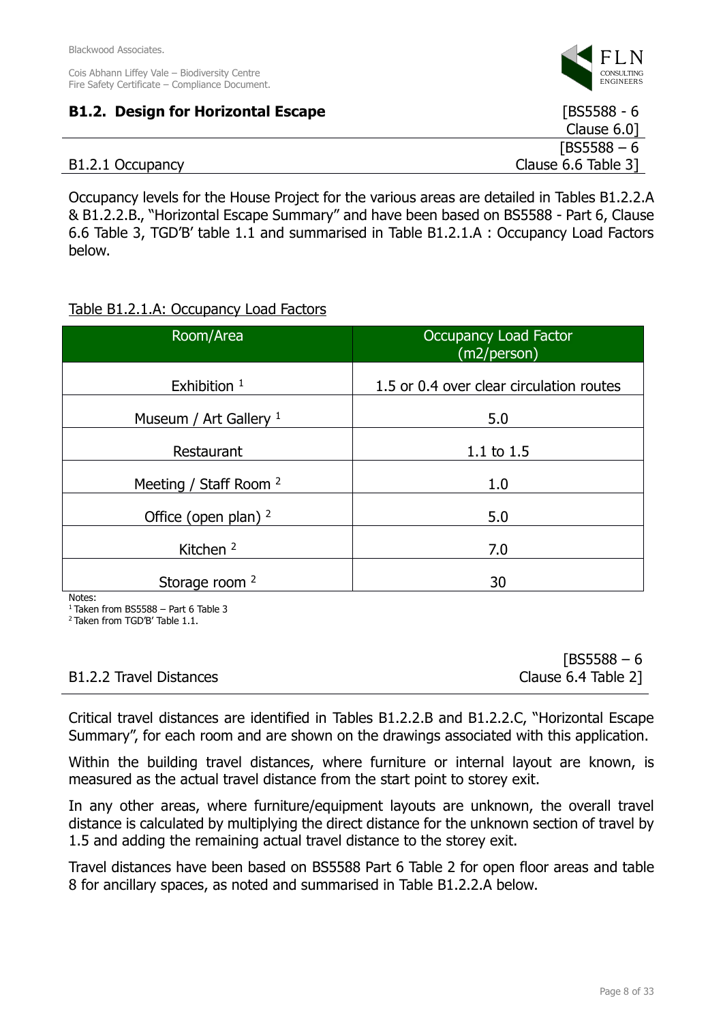

| <b>B1.2. Design for Horizontal Escape</b> | $[BS5588 - 6]$           |
|-------------------------------------------|--------------------------|
|                                           | Clause $6.0$ ]           |
|                                           | $[BS5588 - 6]$           |
| B1.2.1 Occupancy                          | Clause $6.6$ Table $3$ ] |

Occupancy levels for the House Project for the various areas are detailed in Tables B1.2.2.A & B1.2.2.B., "Horizontal Escape Summary" and have been based on BS5588 - Part 6, Clause 6.6 Table 3, TGD'B' table 1.1 and summarised in Table B1.2.1.A : Occupancy Load Factors below.

### Table B1.2.1.A: Occupancy Load Factors

| Room/Area                         | Occupancy Load Factor<br>(m2/person)     |
|-----------------------------------|------------------------------------------|
| Exhibition $1$                    | 1.5 or 0.4 over clear circulation routes |
| Museum / Art Gallery $1$          | 5.0                                      |
| Restaurant                        | 1.1 to $1.5$                             |
| Meeting / Staff Room <sup>2</sup> | 1.0                                      |
| Office (open plan) $2$            | 5.0                                      |
| Kitchen <sup>2</sup>              | 7.0                                      |
| Storage room <sup>2</sup><br>.    | 30                                       |

Notes:

 $1$  Taken from BS5588 - Part 6 Table 3

<sup>2</sup>Taken from TGD'B' Table 1.1.

|                         | $[BS5588 - 6]$      |
|-------------------------|---------------------|
| B1.2.2 Travel Distances | Clause 6.4 Table 2] |

Critical travel distances are identified in Tables B1.2.2.B and B1.2.2.C, "Horizontal Escape Summary", for each room and are shown on the drawings associated with this application.

Within the building travel distances, where furniture or internal layout are known, is measured as the actual travel distance from the start point to storey exit.

In any other areas, where furniture/equipment layouts are unknown, the overall travel distance is calculated by multiplying the direct distance for the unknown section of travel by 1.5 and adding the remaining actual travel distance to the storey exit.

Travel distances have been based on BS5588 Part 6 Table 2 for open floor areas and table 8 for ancillary spaces, as noted and summarised in Table B1.2.2.A below.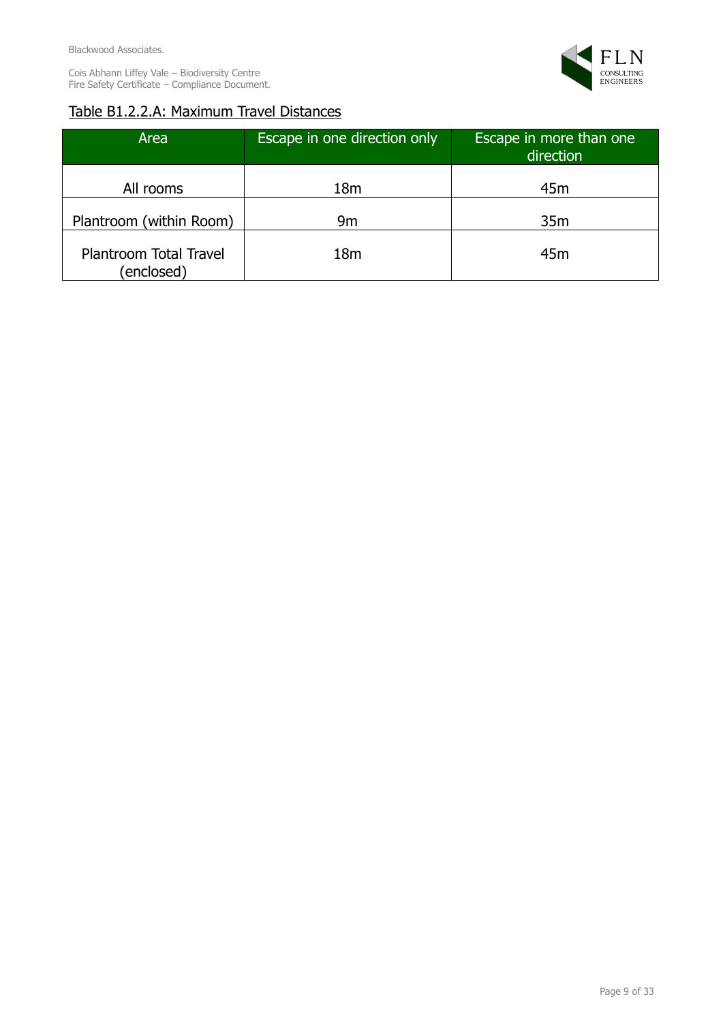

# Table B1.2.2.A: Maximum Travel Distances

| Area                                 | Escape in one direction only | Escape in more than one<br>direction |  |  |  |
|--------------------------------------|------------------------------|--------------------------------------|--|--|--|
| All rooms                            | 18m                          | 45m                                  |  |  |  |
| Plantroom (within Room)              | 9m                           | 35m                                  |  |  |  |
| Plantroom Total Travel<br>(enclosed) | 18 <sub>m</sub>              | 45m                                  |  |  |  |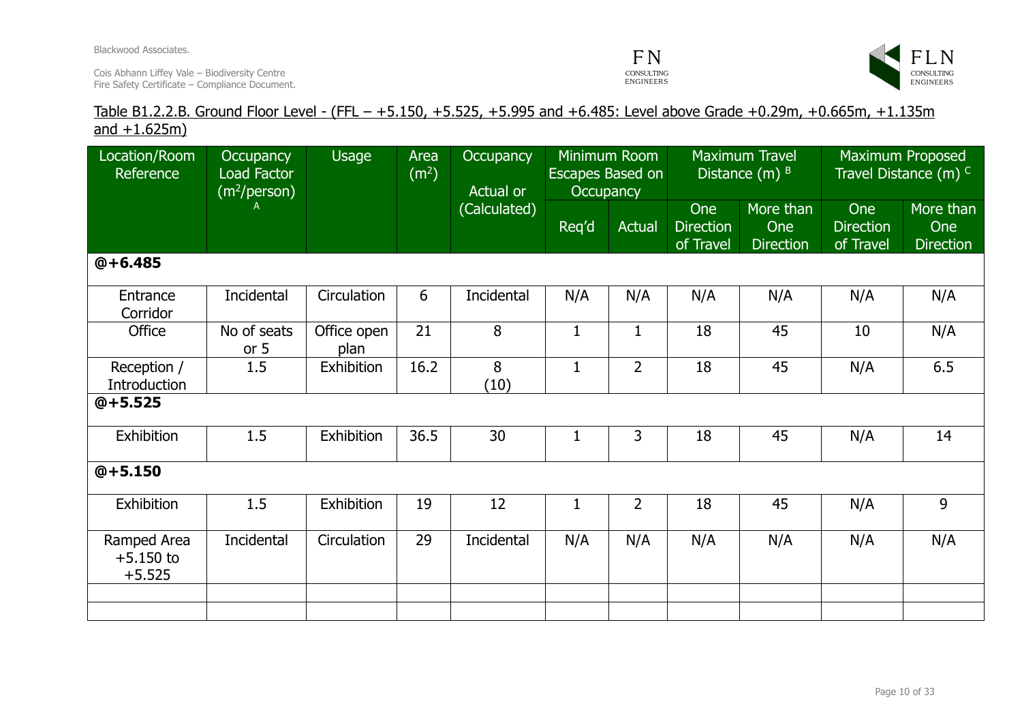Blackwood Associates.

Cois Abhann Liffey Vale – Biodiversity Centre Fire Safety Certificate – Compliance Document.





### Table B1.2.2.B. Ground Floor Level - (FFL – +5.150, +5.525, +5.995 and +6.485: Level above Grade +0.29m, +0.665m, +1.135m and  $+1.625m$ )

| Location/Room<br>Reference             | Occupancy<br>Load Factor<br>(m <sup>2</sup> /person) | Usage               | Area<br>(m <sup>2</sup> ) | Occupancy<br>Actual or<br>(Calculated) | Minimum Room<br>Escapes Based on<br><b>Occupancy</b> |                | <b>Maximum Travel</b><br>Distance $(m)$ $B$ |                                      | <b>Maximum Proposed</b><br>Travel Distance $(m)$ <sup>C</sup> |                                      |
|----------------------------------------|------------------------------------------------------|---------------------|---------------------------|----------------------------------------|------------------------------------------------------|----------------|---------------------------------------------|--------------------------------------|---------------------------------------------------------------|--------------------------------------|
|                                        |                                                      |                     |                           |                                        | Req'd                                                | Actual         | One<br><b>Direction</b><br>of Travel        | More than<br>One<br><b>Direction</b> | One<br><b>Direction</b><br>of Travel                          | More than<br>One<br><b>Direction</b> |
| $@+6.485$                              |                                                      |                     |                           |                                        |                                                      |                |                                             |                                      |                                                               |                                      |
| Entrance<br>Corridor                   | Incidental                                           | Circulation         | 6                         | Incidental                             | N/A                                                  | N/A            | N/A                                         | N/A                                  | N/A                                                           | N/A                                  |
| Office                                 | No of seats<br>or $5$                                | Office open<br>plan | 21                        | 8                                      | $\mathbf{1}$                                         | $\mathbf{1}$   | 18                                          | 45                                   | 10                                                            | N/A                                  |
| Reception /<br>Introduction            | 1.5                                                  | Exhibition          | 16.2                      | 8<br>(10)                              | $\mathbf{1}$                                         | $\overline{2}$ | 18                                          | 45                                   | N/A                                                           | 6.5                                  |
| $@+5.525$                              |                                                      |                     |                           |                                        |                                                      |                |                                             |                                      |                                                               |                                      |
| Exhibition                             | 1.5                                                  | Exhibition          | 36.5                      | 30                                     | $\mathbf 1$                                          | 3              | 18                                          | 45                                   | N/A                                                           | 14                                   |
| $@+5.150$                              |                                                      |                     |                           |                                        |                                                      |                |                                             |                                      |                                                               |                                      |
| Exhibition                             | 1.5                                                  | Exhibition          | 19                        | 12                                     | $\mathbf 1$                                          | $\overline{2}$ | 18                                          | 45                                   | N/A                                                           | 9                                    |
| Ramped Area<br>$+5.150$ to<br>$+5.525$ | Incidental                                           | Circulation         | 29                        | Incidental                             | N/A                                                  | N/A            | N/A                                         | N/A                                  | N/A                                                           | N/A                                  |
|                                        |                                                      |                     |                           |                                        |                                                      |                |                                             |                                      |                                                               |                                      |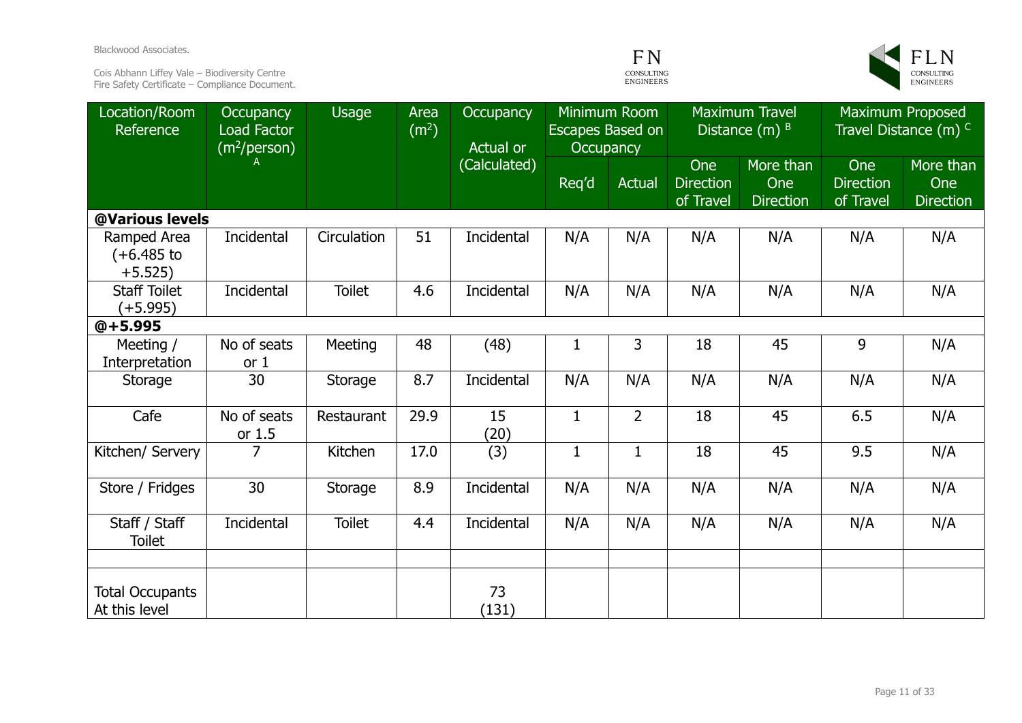Blackwood Associates.

Cois Abhann Liffey Vale – Biodiversity Centre Fire Safety Certificate – Compliance Document.





| Location/Room<br>Reference                | <b>Occupancy</b><br><b>Load Factor</b><br>(m <sup>2</sup> /person) | <b>Usage</b>  | Area<br>(m <sup>2</sup> ) | Occupancy<br>Actual or | Minimum Room<br>Escapes Based on<br>Occupancy |                |                                      | <b>Maximum Travel</b><br>Distance $(m)$ $B$ |                                      | <b>Maximum Proposed</b><br>Travel Distance (m) C |
|-------------------------------------------|--------------------------------------------------------------------|---------------|---------------------------|------------------------|-----------------------------------------------|----------------|--------------------------------------|---------------------------------------------|--------------------------------------|--------------------------------------------------|
|                                           |                                                                    |               |                           | (Calculated)           | Req'd                                         | <b>Actual</b>  | One<br><b>Direction</b><br>of Travel | More than<br>One<br><b>Direction</b>        | One<br><b>Direction</b><br>of Travel | More than<br>One<br><b>Direction</b>             |
| @Various levels                           |                                                                    |               |                           |                        |                                               |                |                                      |                                             |                                      |                                                  |
| Ramped Area<br>$(+6.485)$ to<br>$+5.525)$ | Incidental                                                         | Circulation   | 51                        | Incidental             | N/A                                           | N/A            | N/A                                  | N/A                                         | N/A                                  | N/A                                              |
| <b>Staff Toilet</b><br>(+5.995)           | Incidental                                                         | <b>Toilet</b> | 4.6                       | Incidental             | N/A                                           | N/A            | N/A                                  | N/A                                         | N/A                                  | N/A                                              |
| $@+5.995$                                 |                                                                    |               |                           |                        |                                               |                |                                      |                                             |                                      |                                                  |
| Meeting /<br>Interpretation               | No of seats<br>or <sub>1</sub>                                     | Meeting       | 48                        | (48)                   | $\mathbf{1}$                                  | 3              | 18                                   | 45                                          | 9                                    | N/A                                              |
| Storage                                   | 30                                                                 | Storage       | 8.7                       | Incidental             | N/A                                           | N/A            | N/A                                  | N/A                                         | N/A                                  | N/A                                              |
| Cafe                                      | No of seats<br>or $1.5$                                            | Restaurant    | 29.9                      | 15<br>(20)             | $\mathbf{1}$                                  | $\overline{2}$ | 18                                   | 45                                          | 6.5                                  | N/A                                              |
| Kitchen/ Servery                          | $\overline{7}$                                                     | Kitchen       | 17.0                      | (3)                    | $\mathbf{1}$                                  | $\mathbf{1}$   | 18                                   | 45                                          | 9.5                                  | N/A                                              |
| Store / Fridges                           | 30                                                                 | Storage       | 8.9                       | Incidental             | N/A                                           | N/A            | N/A                                  | N/A                                         | N/A                                  | N/A                                              |
| Staff / Staff<br><b>Toilet</b>            | Incidental                                                         | <b>Toilet</b> | 4.4                       | Incidental             | N/A                                           | N/A            | N/A                                  | N/A                                         | N/A                                  | N/A                                              |
|                                           |                                                                    |               |                           |                        |                                               |                |                                      |                                             |                                      |                                                  |
| <b>Total Occupants</b><br>At this level   |                                                                    |               |                           | 73<br>(131)            |                                               |                |                                      |                                             |                                      |                                                  |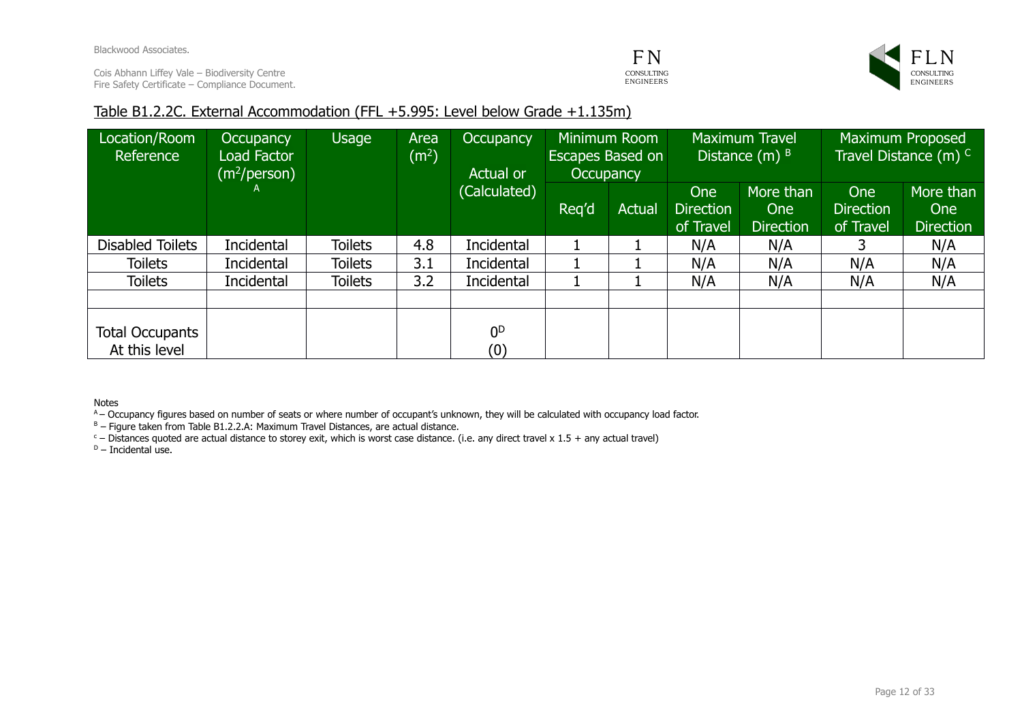### **FN** CONSULTING ENGINEERS



### Table B1.2.2C. External Accommodation (FFL +5.995: Level below Grade +1.135m)

| Location/Room<br>Reference       | <b>Occupancy</b><br>Load Factor<br>$(m^2/\text{person})$ | Usage          | Area<br>(m <sup>2</sup> ) | Occupancy<br>Actual or | <b>Occupancy</b> | Minimum Room<br><b>Escapes Based on</b> |                                      | <b>Maximum Travel</b><br>Distance $(m)$ $B$ |                                      | Maximum Proposed<br>Travel Distance (m) C   |
|----------------------------------|----------------------------------------------------------|----------------|---------------------------|------------------------|------------------|-----------------------------------------|--------------------------------------|---------------------------------------------|--------------------------------------|---------------------------------------------|
|                                  | $\mathsf{A}$                                             |                |                           | (Calculated)           | Reg'd            | <b>Actual</b>                           | One<br><b>Direction</b><br>of Travel | More than<br><b>One</b><br><b>Direction</b> | One<br><b>Direction</b><br>of Travel | More than<br><b>One</b><br><b>Direction</b> |
| <b>Disabled Toilets</b>          | Incidental                                               | <b>Toilets</b> | 4.8                       | Incidental             |                  |                                         | N/A                                  | N/A                                         |                                      | N/A                                         |
| <b>Toilets</b>                   | Incidental                                               | <b>Toilets</b> | 3.1                       | Incidental             |                  |                                         | N/A                                  | N/A                                         | N/A                                  | N/A                                         |
| <b>Toilets</b>                   | Incidental                                               | <b>Toilets</b> | 3.2                       | Incidental             |                  |                                         | N/A                                  | N/A                                         | N/A                                  | N/A                                         |
|                                  |                                                          |                |                           |                        |                  |                                         |                                      |                                             |                                      |                                             |
| Total Occupants<br>At this level |                                                          |                |                           | 0 <sup>D</sup><br>(0)  |                  |                                         |                                      |                                             |                                      |                                             |

Notes

A – Occupancy figures based on number of seats or where number of occupant's unknown, they will be calculated with occupancy load factor.

 $B -$  Figure taken from Table B1.2.2.A: Maximum Travel Distances, are actual distance.

 $c -$  Distances quoted are actual distance to storey exit, which is worst case distance. (i.e. any direct travel x 1.5 + any actual travel)

 $D -$  Incidental use.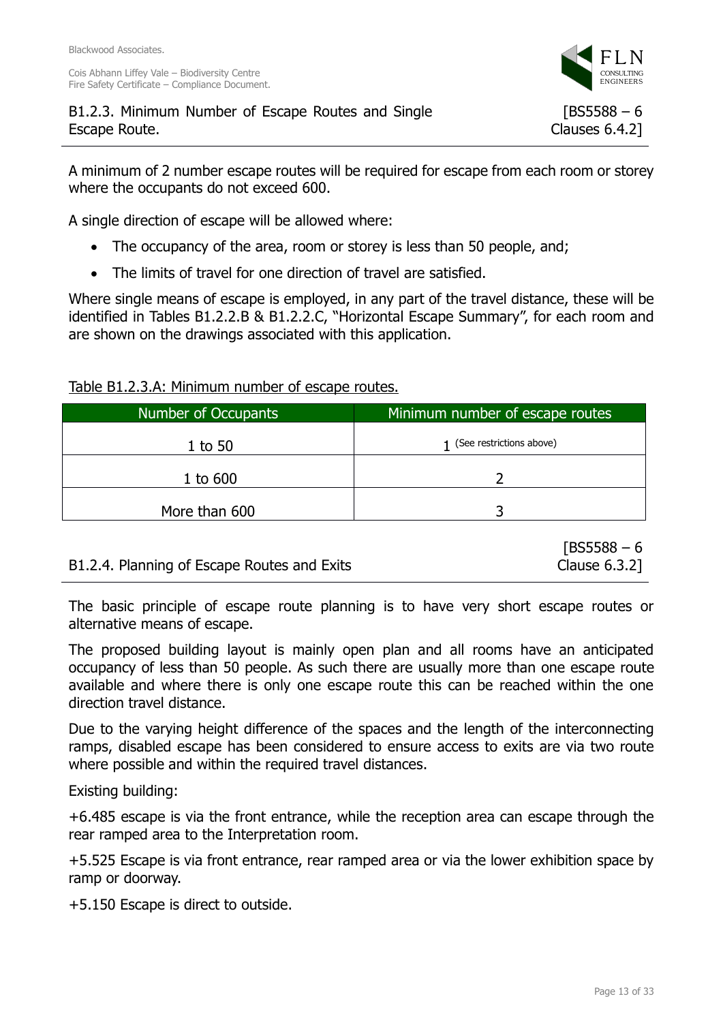A minimum of 2 number escape routes will be required for escape from each room or storey where the occupants do not exceed 600.

A single direction of escape will be allowed where:

- The occupancy of the area, room or storey is less than 50 people, and;
- The limits of travel for one direction of travel are satisfied.

Where single means of escape is employed, in any part of the travel distance, these will be identified in Tables B1.2.2.B & B1.2.2.C, "Horizontal Escape Summary", for each room and are shown on the drawings associated with this application.

Table B1.2.3.A: Minimum number of escape routes.

B1.2.4. Planning of Escape Routes and Exits

| Number of Occupants | Minimum number of escape routes |
|---------------------|---------------------------------|
| $1$ to 50           | 1 (See restrictions above)      |
| $1$ to $600$        |                                 |
| More than 600       |                                 |

 $[BS5588 - 6]$ Clause 6.3.2]

The basic principle of escape route planning is to have very short escape routes or alternative means of escape.

The proposed building layout is mainly open plan and all rooms have an anticipated occupancy of less than 50 people. As such there are usually more than one escape route available and where there is only one escape route this can be reached within the one direction travel distance.

Due to the varying height difference of the spaces and the length of the interconnecting ramps, disabled escape has been considered to ensure access to exits are via two route where possible and within the required travel distances.

Existing building:

+6.485 escape is via the front entrance, while the reception area can escape through the rear ramped area to the Interpretation room.

+5.525 Escape is via front entrance, rear ramped area or via the lower exhibition space by ramp or doorway.

+5.150 Escape is direct to outside.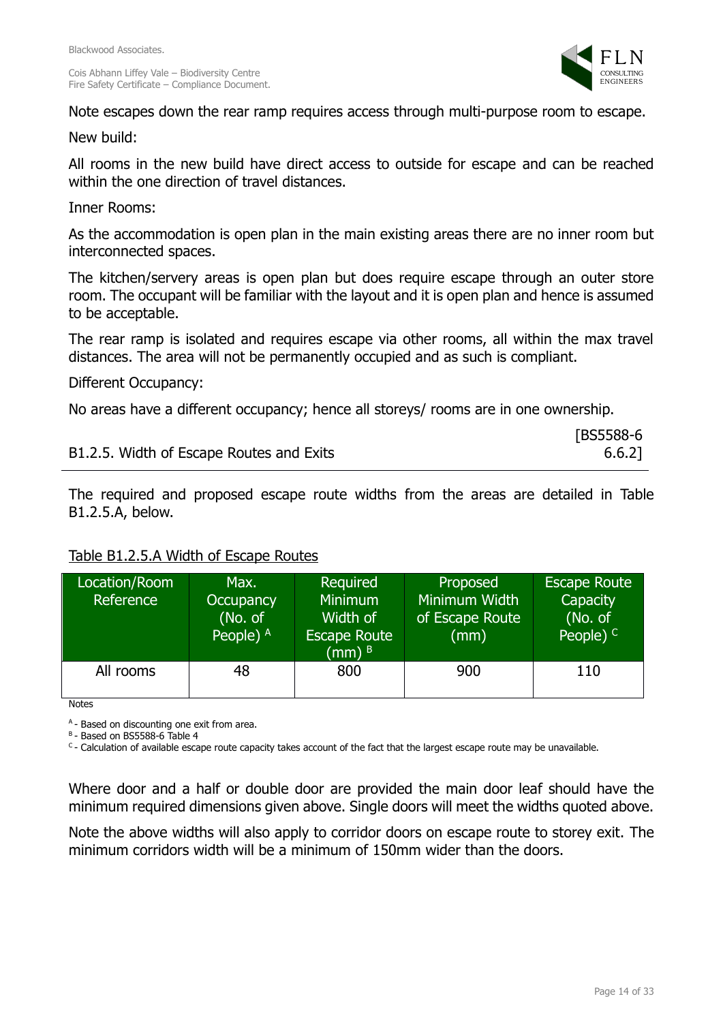

Note escapes down the rear ramp requires access through multi-purpose room to escape.

New build:

All rooms in the new build have direct access to outside for escape and can be reached within the one direction of travel distances.

Inner Rooms:

As the accommodation is open plan in the main existing areas there are no inner room but interconnected spaces.

The kitchen/servery areas is open plan but does require escape through an outer store room. The occupant will be familiar with the layout and it is open plan and hence is assumed to be acceptable.

The rear ramp is isolated and requires escape via other rooms, all within the max travel distances. The area will not be permanently occupied and as such is compliant.

Different Occupancy:

No areas have a different occupancy; hence all storeys/ rooms are in one ownership.

|                                          | [BS5588-6] |
|------------------------------------------|------------|
| B1.2.5. Width of Escape Routes and Exits | $6.6.2$ ]  |

The required and proposed escape route widths from the areas are detailed in Table B1.2.5.A, below.

### Table B1.2.5.A Width of Escape Routes

| Location/Room<br>Reference | Max.<br><b>Occupancy</b><br>(No. of<br>People) $A$ | Required<br><b>Minimum</b><br>Width of<br><b>Escape Route</b><br>$(mm)$ <sup>B</sup> | Proposed<br>Minimum Width<br>of Escape Route<br>(mm) | <b>Escape Route</b><br>Capacity<br>(No. of<br>People) $C$ |
|----------------------------|----------------------------------------------------|--------------------------------------------------------------------------------------|------------------------------------------------------|-----------------------------------------------------------|
| All rooms                  | 48                                                 | 800                                                                                  | 900                                                  | 110                                                       |

Notes

<sup>A</sup> - Based on discounting one exit from area.

<sup>B</sup> - Based on BS5588-6 Table 4

<sup>C</sup>- Calculation of available escape route capacity takes account of the fact that the largest escape route may be unavailable.

Where door and a half or double door are provided the main door leaf should have the minimum required dimensions given above. Single doors will meet the widths quoted above.

Note the above widths will also apply to corridor doors on escape route to storey exit. The minimum corridors width will be a minimum of 150mm wider than the doors.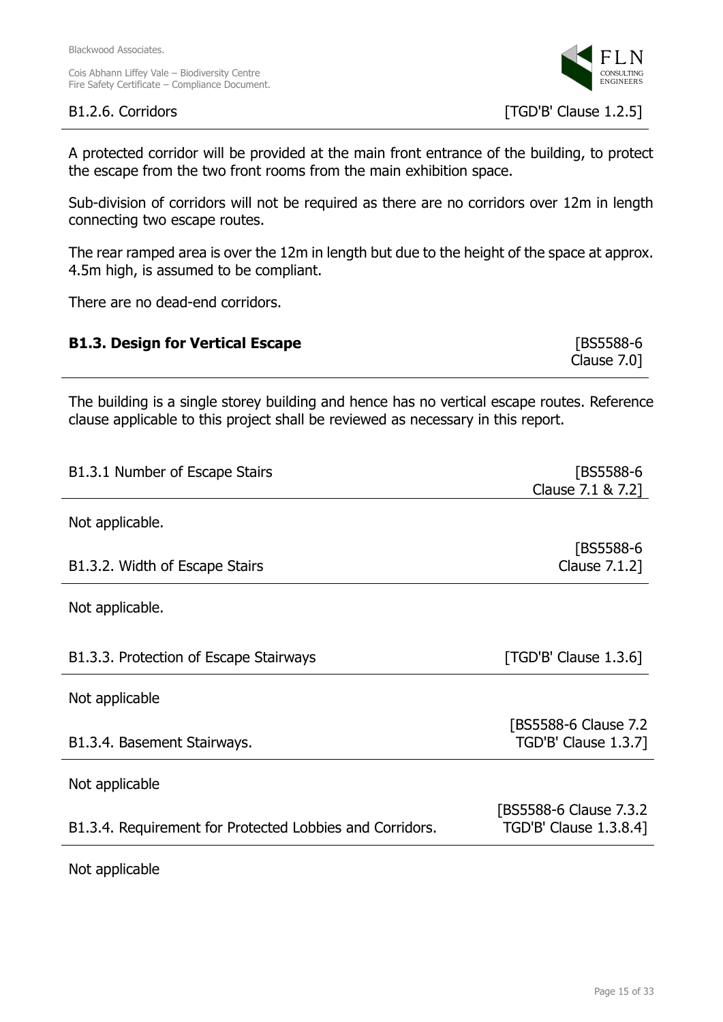

A protected corridor will be provided at the main front entrance of the building, to protect the escape from the two front rooms from the main exhibition space.

Sub-division of corridors will not be required as there are no corridors over 12m in length connecting two escape routes.

The rear ramped area is over the 12m in length but due to the height of the space at approx. 4.5m high, is assumed to be compliant.

There are no dead-end corridors.

| <b>B1.3. Design for Vertical Escape</b> | [BS5588-6]     |
|-----------------------------------------|----------------|
|                                         | Clause $7.0$ ] |

The building is a single storey building and hence has no vertical escape routes. Reference clause applicable to this project shall be reviewed as necessary in this report.

| B1.3.1 Number of Escape Stairs                           | [BS5588-6               |
|----------------------------------------------------------|-------------------------|
|                                                          | Clause 7.1 & 7.2]       |
| Not applicable.                                          |                         |
|                                                          | [BS5588-6               |
| B1.3.2. Width of Escape Stairs                           | Clause 7.1.2]           |
| Not applicable.                                          |                         |
| B1.3.3. Protection of Escape Stairways                   | $[TGD'B'$ Clause 1.3.6] |
| Not applicable                                           |                         |
|                                                          | [BS5588-6 Clause 7.2    |
| B1.3.4. Basement Stairways.                              | TGD'B' Clause 1.3.7]    |
| Not applicable                                           |                         |
|                                                          | [BS5588-6 Clause 7.3.2] |
| B1.3.4. Requirement for Protected Lobbies and Corridors. | TGD'B' Clause 1.3.8.4]  |
| Not applicable                                           |                         |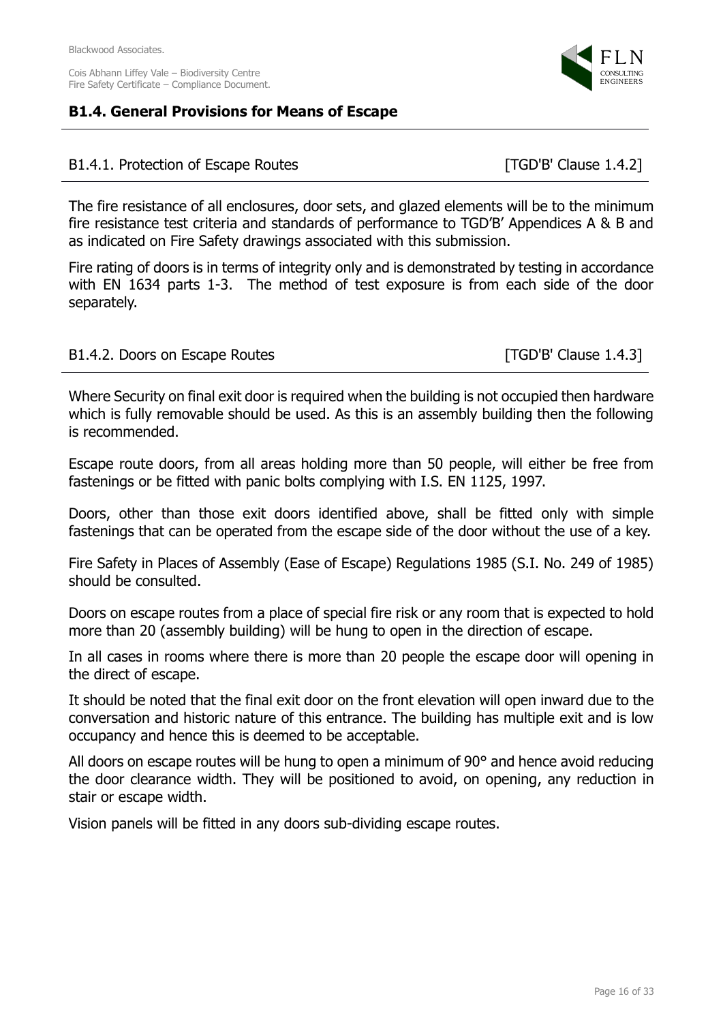### **B1.4. General Provisions for Means of Escape**

### B1.4.1. Protection of Escape Routes [TGD'B' Clause 1.4.2]

The fire resistance of all enclosures, door sets, and glazed elements will be to the minimum fire resistance test criteria and standards of performance to TGD'B' Appendices A & B and as indicated on Fire Safety drawings associated with this submission.

Fire rating of doors is in terms of integrity only and is demonstrated by testing in accordance with EN 1634 parts 1-3. The method of test exposure is from each side of the door separately.

### B1.4.2. Doors on Escape Routes [TGD'B' Clause 1.4.3]

Where Security on final exit door is required when the building is not occupied then hardware which is fully removable should be used. As this is an assembly building then the following is recommended.

Escape route doors, from all areas holding more than 50 people, will either be free from fastenings or be fitted with panic bolts complying with I.S. EN 1125, 1997.

Doors, other than those exit doors identified above, shall be fitted only with simple fastenings that can be operated from the escape side of the door without the use of a key.

Fire Safety in Places of Assembly (Ease of Escape) Regulations 1985 (S.I. No. 249 of 1985) should be consulted.

Doors on escape routes from a place of special fire risk or any room that is expected to hold more than 20 (assembly building) will be hung to open in the direction of escape.

In all cases in rooms where there is more than 20 people the escape door will opening in the direct of escape.

It should be noted that the final exit door on the front elevation will open inward due to the conversation and historic nature of this entrance. The building has multiple exit and is low occupancy and hence this is deemed to be acceptable.

All doors on escape routes will be hung to open a minimum of 90° and hence avoid reducing the door clearance width. They will be positioned to avoid, on opening, any reduction in stair or escape width.

Vision panels will be fitted in any doors sub-dividing escape routes.

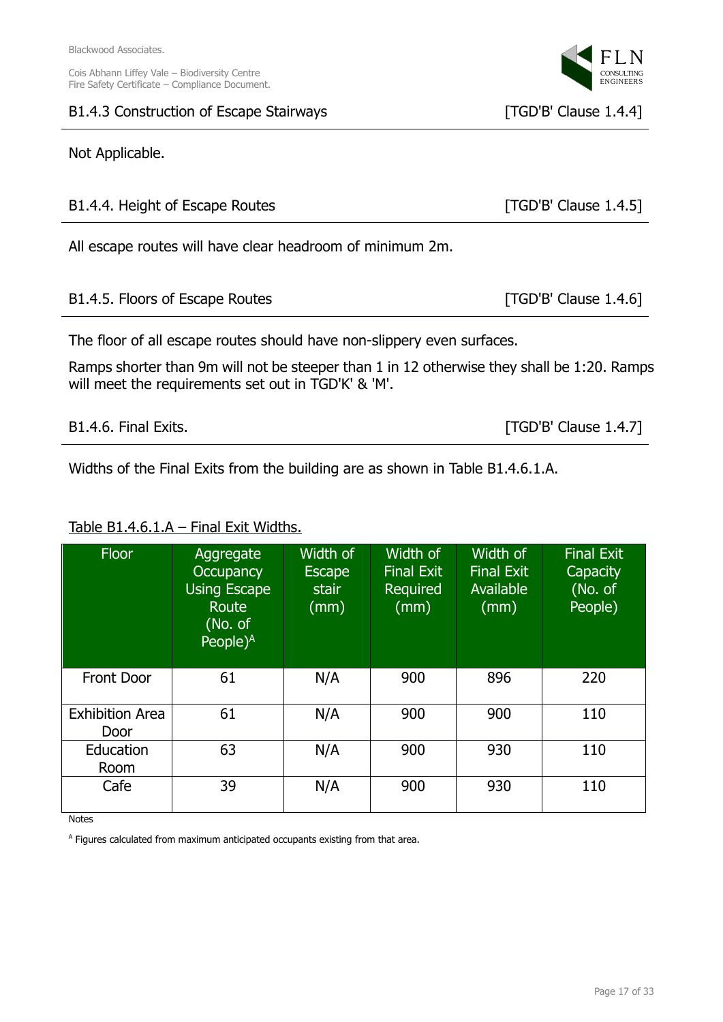### B1.4.3 Construction of Escape Stairways [TGD'B' Clause 1.4.4]

### Not Applicable.

| B1.4.4. Height of Escape Routes                                                           | [ $TGD'B'$ Clause $1.4.5$ ] |  |
|-------------------------------------------------------------------------------------------|-----------------------------|--|
| All escape routes will have clear headroom of minimum 2m.                                 |                             |  |
| B1.4.5. Floors of Escape Routes                                                           | [TGD'B' Clause 1.4.6]       |  |
| The floor of all escape routes should have non-slippery even surfaces.                    |                             |  |
| Ramps shorter than 9m will not be steeper than 1 in 12 otherwise they shall be 1:20. Ramp |                             |  |

Ramps shorter than 9m will not be steeper than 1 in 12 otherwise they shall be 1:20. Ramps will meet the requirements set out in TGD'K' & 'M'.

| B1.4.6. Final Exits. |  |  |
|----------------------|--|--|
|----------------------|--|--|

Widths of the Final Exits from the building are as shown in Table B1.4.6.1.A.

# Table B1.4.6.1.A - Final Exit Widths.

| <b>Floor</b>                   | Aggregate<br><b>Occupancy</b><br><b>Using Escape</b><br>Route<br>(No. of<br>People $)$ <sup>A</sup> | Width of<br><b>Escape</b><br>stair<br>(mm) | Width of<br><b>Final Exit</b><br>Required<br>(mm) | Width of<br><b>Final Exit</b><br>Available<br>(mm) | <b>Final Exit</b><br>Capacity<br>(No. of<br>People) |
|--------------------------------|-----------------------------------------------------------------------------------------------------|--------------------------------------------|---------------------------------------------------|----------------------------------------------------|-----------------------------------------------------|
| <b>Front Door</b>              | 61                                                                                                  | N/A                                        | 900                                               | 896                                                | 220                                                 |
| <b>Exhibition Area</b><br>Door | 61                                                                                                  | N/A                                        | 900                                               | 900                                                | 110                                                 |
| Education<br>Room              | 63                                                                                                  | N/A                                        | 900                                               | 930                                                | 110                                                 |
| Cafe                           | 39                                                                                                  | N/A                                        | 900                                               | 930                                                | 110                                                 |

Notes

<sup>A</sup> Figures calculated from maximum anticipated occupants existing from that area.



 $[TGD'B'$  Clause 1.4.7]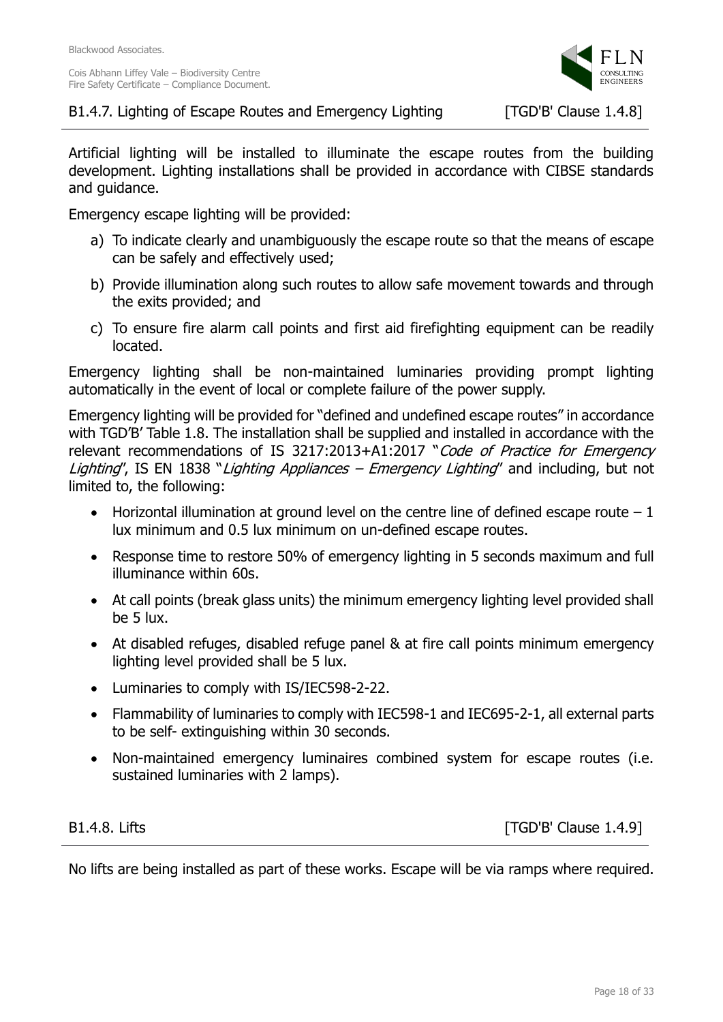

Artificial lighting will be installed to illuminate the escape routes from the building development. Lighting installations shall be provided in accordance with CIBSE standards and guidance.

Emergency escape lighting will be provided:

- a) To indicate clearly and unambiguously the escape route so that the means of escape can be safely and effectively used;
- b) Provide illumination along such routes to allow safe movement towards and through the exits provided; and
- c) To ensure fire alarm call points and first aid firefighting equipment can be readily located.

Emergency lighting shall be non-maintained luminaries providing prompt lighting automatically in the event of local or complete failure of the power supply.

Emergency lighting will be provided for "defined and undefined escape routes" in accordance with TGD'B' Table 1.8. The installation shall be supplied and installed in accordance with the relevant recommendations of IS 3217:2013+A1:2017 "Code of Practice for Emergency Lighting", IS EN 1838 "Lighting Appliances – Emergency Lighting" and including, but not limited to, the following:

- Horizontal illumination at ground level on the centre line of defined escape route  $-1$ lux minimum and 0.5 lux minimum on un-defined escape routes.
- Response time to restore 50% of emergency lighting in 5 seconds maximum and full illuminance within 60s.
- At call points (break glass units) the minimum emergency lighting level provided shall be 5 lux.
- At disabled refuges, disabled refuge panel & at fire call points minimum emergency lighting level provided shall be 5 lux.
- Luminaries to comply with IS/IEC598-2-22.
- Flammability of luminaries to comply with IEC598-1 and IEC695-2-1, all external parts to be self- extinguishing within 30 seconds.
- Non-maintained emergency luminaires combined system for escape routes (i.e. sustained luminaries with 2 lamps).

B1.4.8. Lifts [TGD'B' Clause 1.4.9]

No lifts are being installed as part of these works. Escape will be via ramps where required.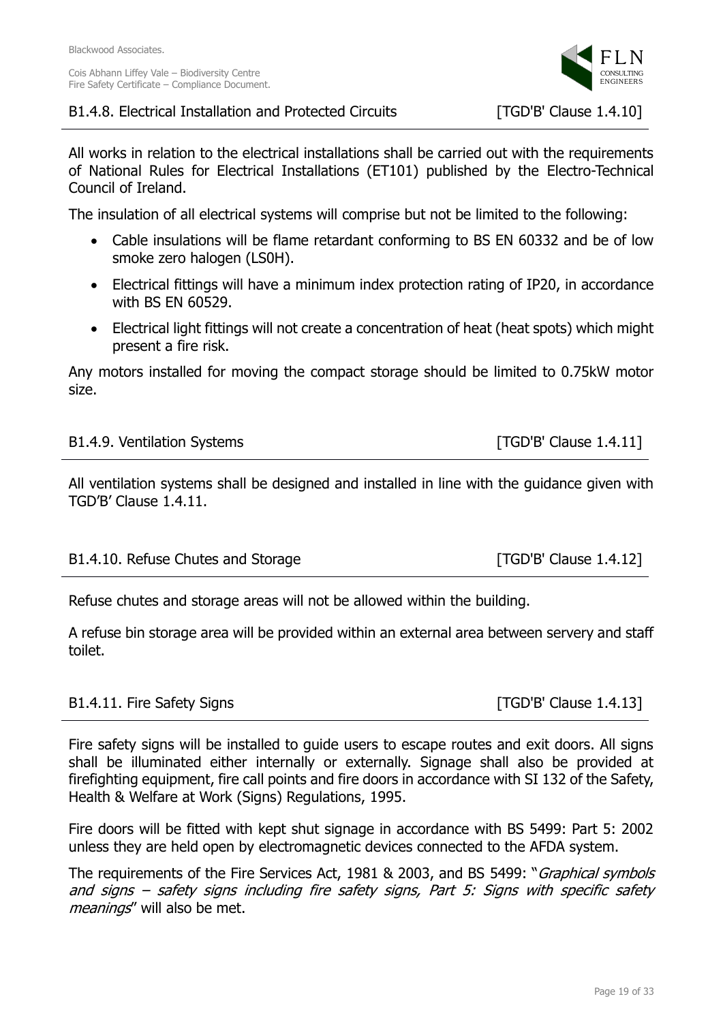



All works in relation to the electrical installations shall be carried out with the requirements of National Rules for Electrical Installations (ET101) published by the Electro-Technical Council of Ireland.

The insulation of all electrical systems will comprise but not be limited to the following:

- Cable insulations will be flame retardant conforming to BS EN 60332 and be of low smoke zero halogen (LS0H).
- Electrical fittings will have a minimum index protection rating of IP20, in accordance with BS EN 60529.
- Electrical light fittings will not create a concentration of heat (heat spots) which might present a fire risk.

Any motors installed for moving the compact storage should be limited to 0.75kW motor size.

|  | B1.4.9. Ventilation Systems |  |
|--|-----------------------------|--|
|--|-----------------------------|--|

 $[TGD'B'$  Clause 1.4.11]

All ventilation systems shall be designed and installed in line with the guidance given with TGD'B' Clause 1.4.11.

| B1.4.10. Refuse Chutes and Storage | [ $TGD'B'$ Clause $1.4.12$ ] |
|------------------------------------|------------------------------|
|                                    |                              |

Refuse chutes and storage areas will not be allowed within the building.

A refuse bin storage area will be provided within an external area between servery and staff toilet.

# B1.4.11. Fire Safety Signs **Example 2.4.13** [TGD'B' Clause 1.4.13]

Fire safety signs will be installed to guide users to escape routes and exit doors. All signs shall be illuminated either internally or externally. Signage shall also be provided at firefighting equipment, fire call points and fire doors in accordance with SI 132 of the Safety, Health & Welfare at Work (Signs) Regulations, 1995.

Fire doors will be fitted with kept shut signage in accordance with BS 5499: Part 5: 2002 unless they are held open by electromagnetic devices connected to the AFDA system.

The requirements of the Fire Services Act, 1981 & 2003, and BS 5499: "*Graphical symbols* and signs – safety signs including fire safety signs, Part 5: Signs with specific safety meanings" will also be met.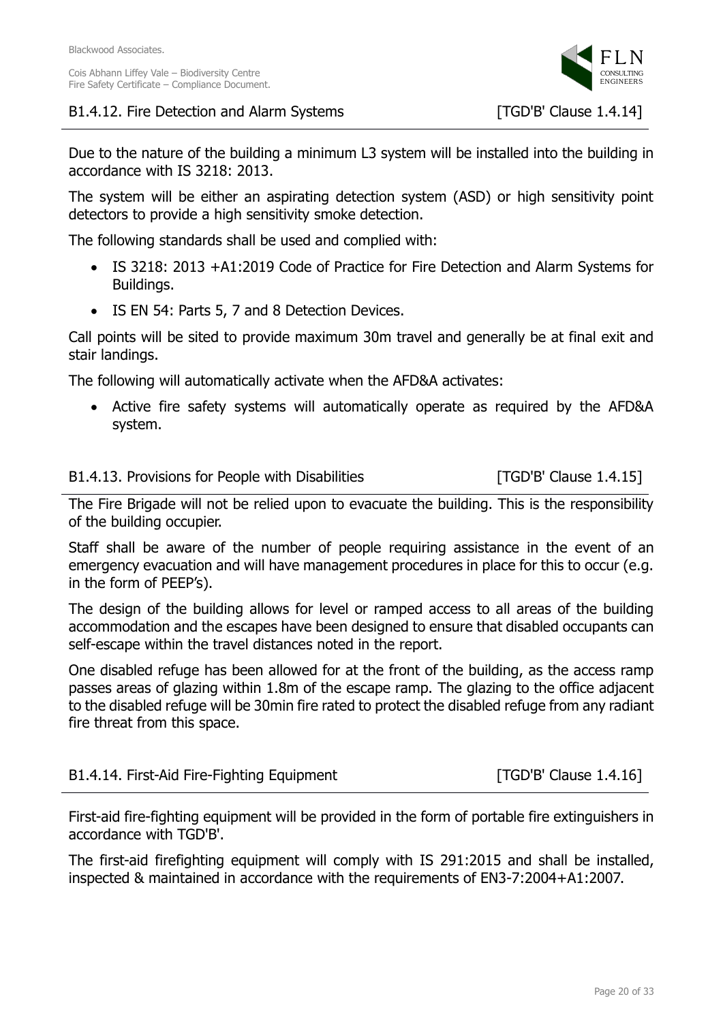



Due to the nature of the building a minimum L3 system will be installed into the building in accordance with IS 3218: 2013.

The system will be either an aspirating detection system (ASD) or high sensitivity point detectors to provide a high sensitivity smoke detection.

The following standards shall be used and complied with:

- IS 3218: 2013 +A1:2019 Code of Practice for Fire Detection and Alarm Systems for Buildings.
- IS EN 54: Parts 5, 7 and 8 Detection Devices.

Call points will be sited to provide maximum 30m travel and generally be at final exit and stair landings.

The following will automatically activate when the AFD&A activates:

• Active fire safety systems will automatically operate as required by the AFD&A system.

### B1.4.13. Provisions for People with Disabilities [TGD'B' Clause 1.4.15]

The Fire Brigade will not be relied upon to evacuate the building. This is the responsibility of the building occupier.

Staff shall be aware of the number of people requiring assistance in the event of an emergency evacuation and will have management procedures in place for this to occur (e.g. in the form of PEEP's).

The design of the building allows for level or ramped access to all areas of the building accommodation and the escapes have been designed to ensure that disabled occupants can self-escape within the travel distances noted in the report.

One disabled refuge has been allowed for at the front of the building, as the access ramp passes areas of glazing within 1.8m of the escape ramp. The glazing to the office adjacent to the disabled refuge will be 30min fire rated to protect the disabled refuge from any radiant fire threat from this space.

| B1.4.14. First-Aid Fire-Fighting Equipment | [ $TGD'B'$ Clause $1.4.16$ ] |
|--------------------------------------------|------------------------------|
|--------------------------------------------|------------------------------|

First-aid fire-fighting equipment will be provided in the form of portable fire extinguishers in accordance with TGD'B'.

The first-aid firefighting equipment will comply with IS 291:2015 and shall be installed, inspected & maintained in accordance with the requirements of EN3-7:2004+A1:2007.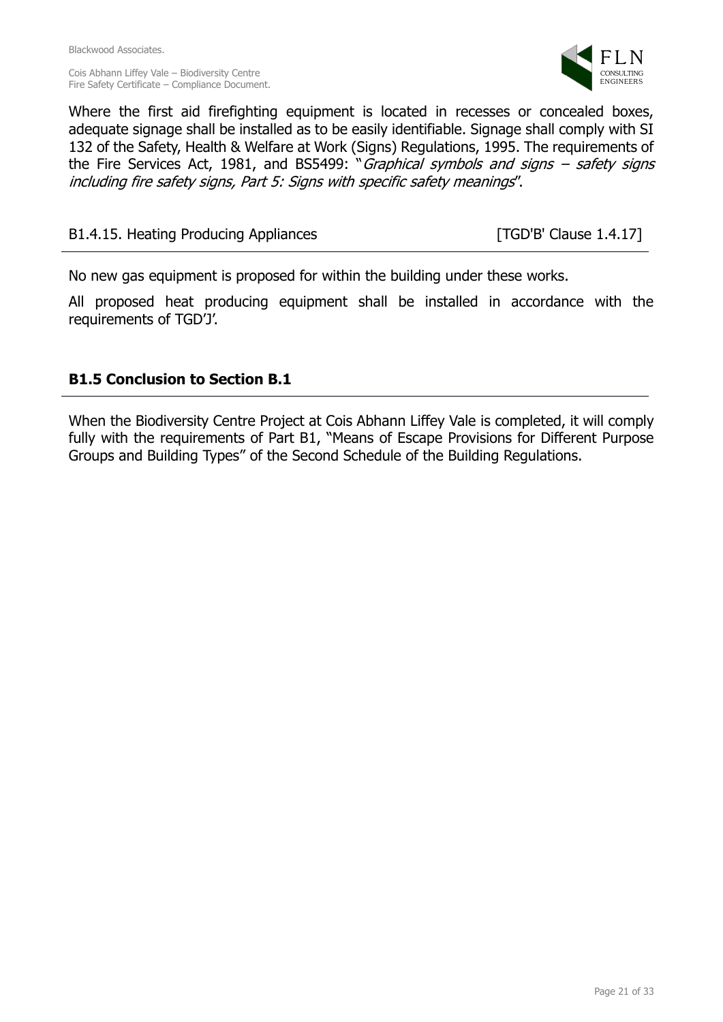Blackwood Associates.

Cois Abhann Liffey Vale – Biodiversity Centre Fire Safety Certificate – Compliance Document.



Where the first aid firefighting equipment is located in recesses or concealed boxes, adequate signage shall be installed as to be easily identifiable. Signage shall comply with SI 132 of the Safety, Health & Welfare at Work (Signs) Regulations, 1995. The requirements of the Fire Services Act, 1981, and BS5499: "Graphical symbols and signs – safety signs including fire safety signs, Part 5: Signs with specific safety meanings".

B1.4.15. Heating Producing Appliances [TGD'B' Clause 1.4.17]

No new gas equipment is proposed for within the building under these works.

All proposed heat producing equipment shall be installed in accordance with the requirements of TGD'J'.

# **B1.5 Conclusion to Section B.1**

When the Biodiversity Centre Project at Cois Abhann Liffey Vale is completed, it will comply fully with the requirements of Part B1, "Means of Escape Provisions for Different Purpose Groups and Building Types" of the Second Schedule of the Building Regulations.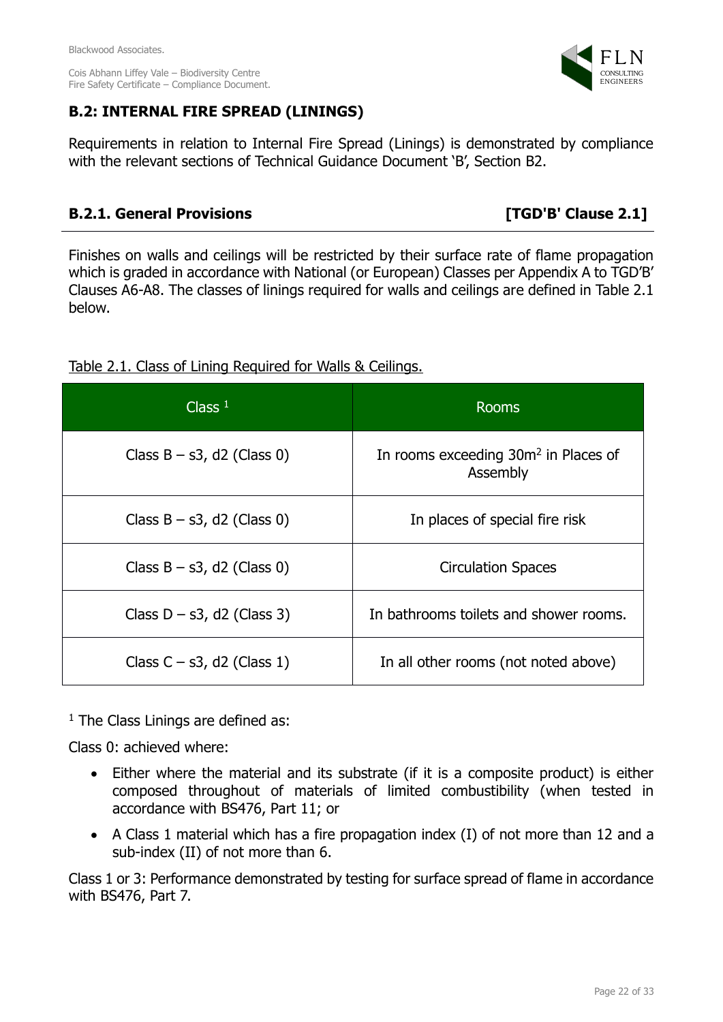# **B.2: INTERNAL FIRE SPREAD (LININGS)**

Requirements in relation to Internal Fire Spread (Linings) is demonstrated by compliance with the relevant sections of Technical Guidance Document 'B', Section B2.

# **B.2.1. General Provisions [TGD'B' Clause 2.1]**

Finishes on walls and ceilings will be restricted by their surface rate of flame propagation which is graded in accordance with National (or European) Classes per Appendix A to TGD'B' Clauses A6-A8. The classes of linings required for walls and ceilings are defined in Table 2.1 below.

| Class $1$                     | <b>Rooms</b>                                                 |
|-------------------------------|--------------------------------------------------------------|
| Class $B - s3$ , d2 (Class 0) | In rooms exceeding 30m <sup>2</sup> in Places of<br>Assembly |
| Class $B - s3$ , d2 (Class 0) | In places of special fire risk                               |
| Class $B - s3$ , d2 (Class 0) | <b>Circulation Spaces</b>                                    |
| Class $D - s3$ , d2 (Class 3) | In bathrooms toilets and shower rooms.                       |
| Class $C - s3$ , d2 (Class 1) | In all other rooms (not noted above)                         |

Table 2.1. Class of Lining Required for Walls & Ceilings.

 $<sup>1</sup>$  The Class Linings are defined as:</sup>

Class 0: achieved where:

- Either where the material and its substrate (if it is a composite product) is either composed throughout of materials of limited combustibility (when tested in accordance with BS476, Part 11; or
- A Class 1 material which has a fire propagation index (I) of not more than 12 and a sub-index (II) of not more than 6.

Class 1 or 3: Performance demonstrated by testing for surface spread of flame in accordance with BS476, Part 7.

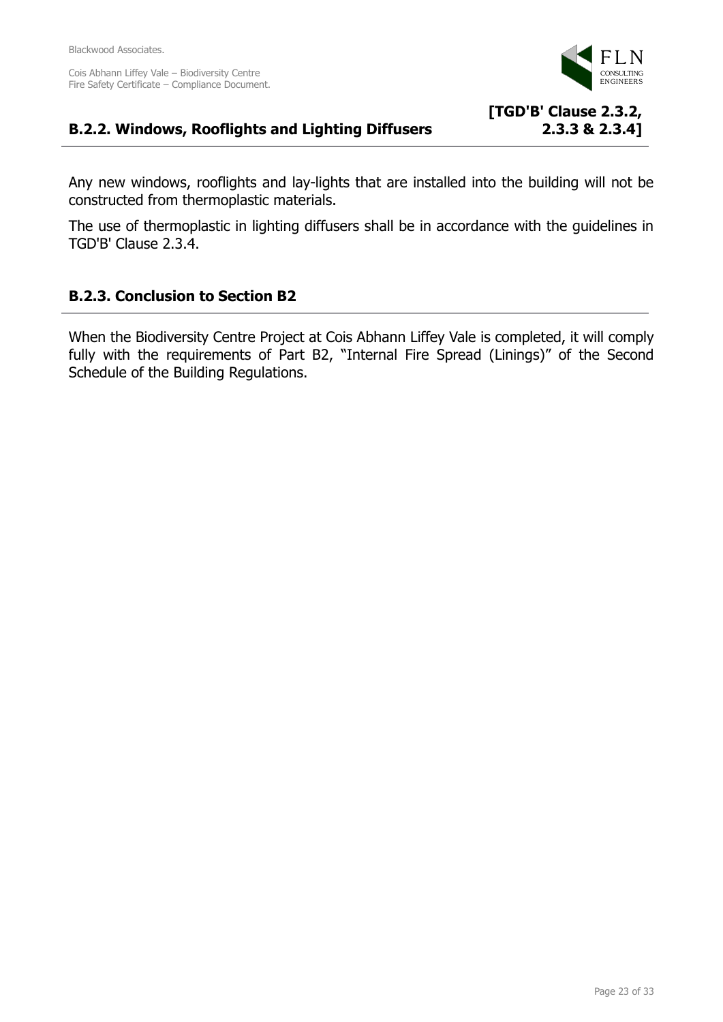

**2.3.3 & 2.3.4]**

### **B.2.2. Windows, Rooflights and Lighting Diffusers [TGD'B' Clause 2.3.2,**

Any new windows, rooflights and lay-lights that are installed into the building will not be constructed from thermoplastic materials.

The use of thermoplastic in lighting diffusers shall be in accordance with the guidelines in TGD'B' Clause 2.3.4.

# **B.2.3. Conclusion to Section B2**

When the Biodiversity Centre Project at Cois Abhann Liffey Vale is completed, it will comply fully with the requirements of Part B2, "Internal Fire Spread (Linings)" of the Second Schedule of the Building Regulations.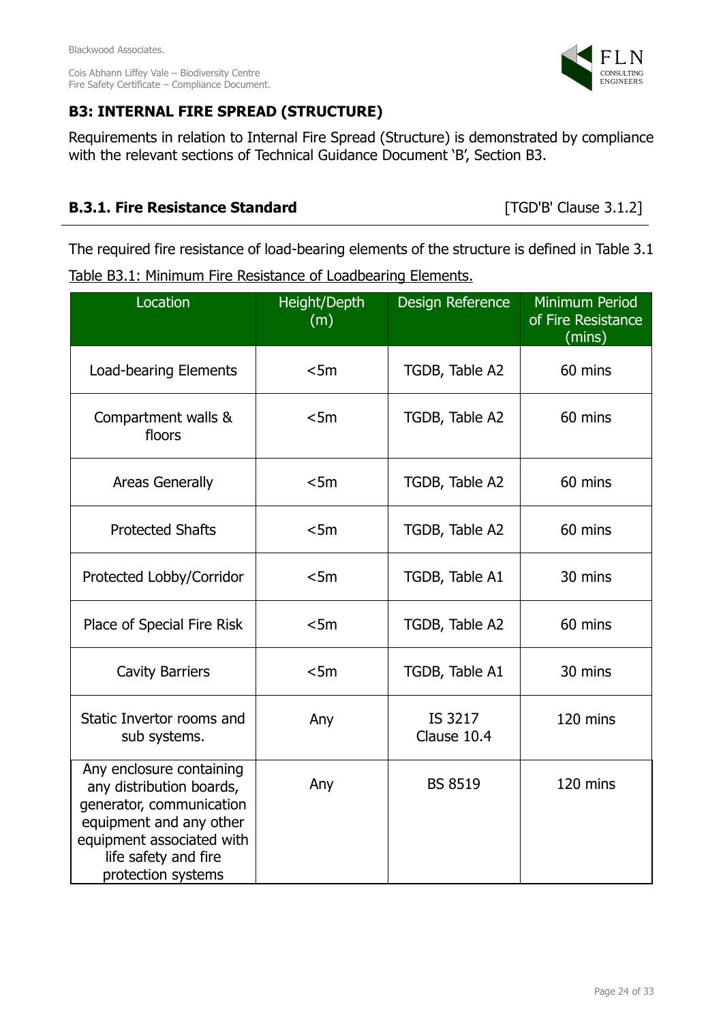

# **B3: INTERNAL FIRE SPREAD (STRUCTURE)**

Requirements in relation to Internal Fire Spread (Structure) is demonstrated by compliance with the relevant sections of Technical Guidance Document 'B', Section B3.

# **B.3.1. Fire Resistance Standard** [TGD'B' Clause 3.1.2]

The required fire resistance of load-bearing elements of the structure is defined in Table 3.1 Table B3.1: Minimum Fire Resistance of Loadbearing Elements.

| Location                                                                                                                                                                                      | Height/Depth<br>(m) | Design Reference       | <b>Minimum Period</b><br>of Fire Resistance<br>(mins) |
|-----------------------------------------------------------------------------------------------------------------------------------------------------------------------------------------------|---------------------|------------------------|-------------------------------------------------------|
| <b>Load-bearing Elements</b>                                                                                                                                                                  | < 5m                | TGDB, Table A2         | 60 mins                                               |
| Compartment walls &<br>floors                                                                                                                                                                 | < 5m                | TGDB, Table A2         | 60 mins                                               |
| <b>Areas Generally</b>                                                                                                                                                                        | < 5m                | TGDB, Table A2         | 60 mins                                               |
| <b>Protected Shafts</b>                                                                                                                                                                       | < 5m                | TGDB, Table A2         | 60 mins                                               |
| Protected Lobby/Corridor                                                                                                                                                                      | < 5m                | TGDB, Table A1         | 30 mins                                               |
| < 5m<br>Place of Special Fire Risk                                                                                                                                                            |                     | TGDB, Table A2         | 60 mins                                               |
| < 5m<br><b>Cavity Barriers</b>                                                                                                                                                                |                     | TGDB, Table A1         | 30 mins                                               |
| Static Invertor rooms and<br>Any<br>sub systems.                                                                                                                                              |                     | IS 3217<br>Clause 10.4 | 120 mins                                              |
| Any enclosure containing<br>Any<br>any distribution boards,<br>generator, communication<br>equipment and any other<br>equipment associated with<br>life safety and fire<br>protection systems |                     | <b>BS 8519</b>         | 120 mins                                              |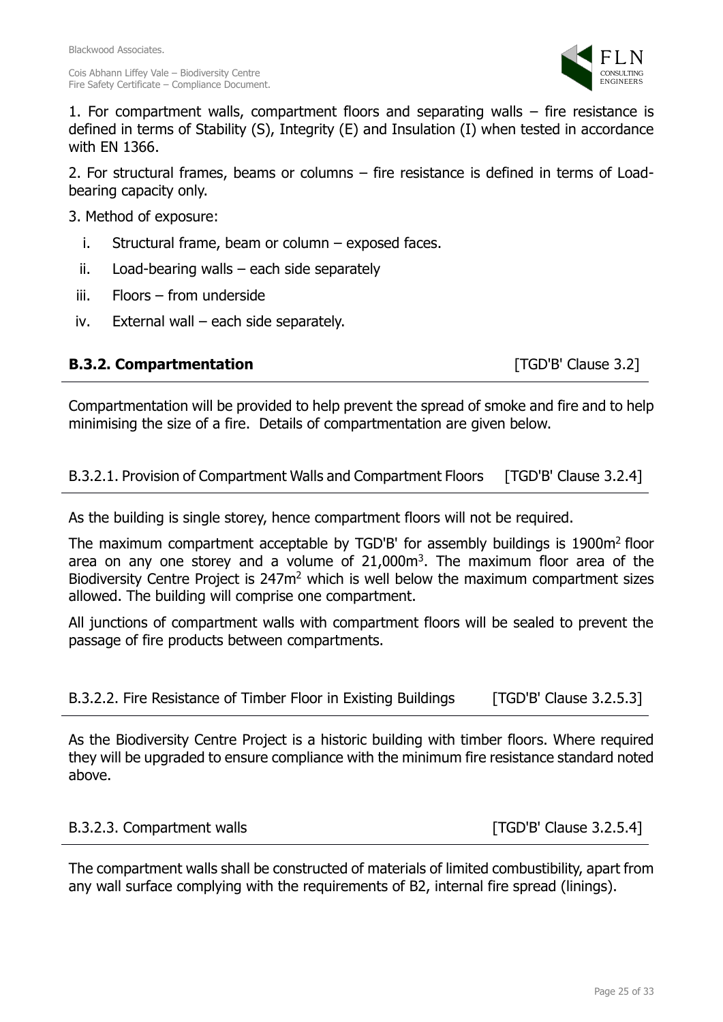

1. For compartment walls, compartment floors and separating walls – fire resistance is defined in terms of Stability (S), Integrity (E) and Insulation (I) when tested in accordance with EN 1366.

2. For structural frames, beams or columns – fire resistance is defined in terms of Loadbearing capacity only.

3. Method of exposure:

- i. Structural frame, beam or column exposed faces.
- ii. Load-bearing walls each side separately
- iii. Floors from underside
- iv. External wall each side separately.

# **B.3.2. Compartmentation B.3.2.** Compartmentation

Compartmentation will be provided to help prevent the spread of smoke and fire and to help minimising the size of a fire. Details of compartmentation are given below.

### B.3.2.1. Provision of Compartment Walls and Compartment Floors [TGD'B' Clause 3.2.4]

As the building is single storey, hence compartment floors will not be required.

The maximum compartment acceptable by TGD'B' for assembly buildings is 1900m<sup>2</sup> floor area on any one storey and a volume of  $21,000m<sup>3</sup>$ . The maximum floor area of the Biodiversity Centre Project is 247m<sup>2</sup> which is well below the maximum compartment sizes allowed. The building will comprise one compartment.

All junctions of compartment walls with compartment floors will be sealed to prevent the passage of fire products between compartments.

| B.3.2.2. Fire Resistance of Timber Floor in Existing Buildings | [TGD'B' Clause 3.2.5.3] |
|----------------------------------------------------------------|-------------------------|
|----------------------------------------------------------------|-------------------------|

As the Biodiversity Centre Project is a historic building with timber floors. Where required they will be upgraded to ensure compliance with the minimum fire resistance standard noted above.

B.3.2.3. Compartment walls [TGD'B' Clause 3.2.5.4]

The compartment walls shall be constructed of materials of limited combustibility, apart from any wall surface complying with the requirements of B2, internal fire spread (linings).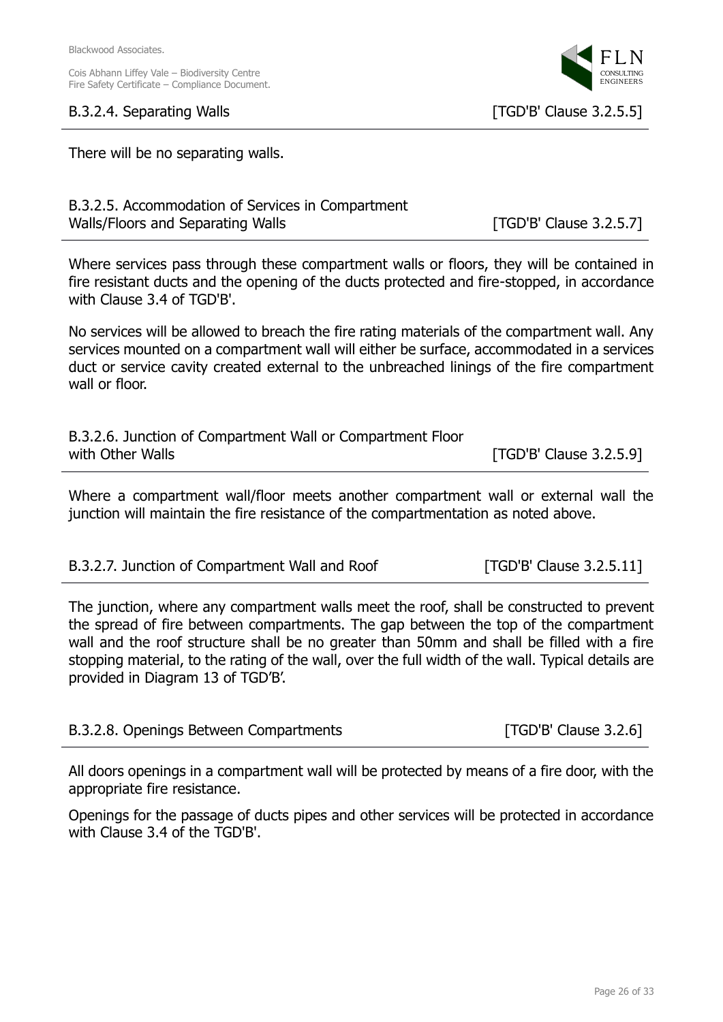### B.3.2.4. Separating Walls [TGD'B' Clause 3.2.5.5]

Page 26 of 33

There will be no separating walls.

| B.3.2.5. Accommodation of Services in Compartment |
|---------------------------------------------------|
| Walls/Floors and Separating Walls                 |

Where services pass through these compartment walls or floors, they will be contained in fire resistant ducts and the opening of the ducts protected and fire-stopped, in accordance with Clause 3.4 of TGD'B'.

No services will be allowed to breach the fire rating materials of the compartment wall. Any services mounted on a compartment wall will either be surface, accommodated in a services duct or service cavity created external to the unbreached linings of the fire compartment wall or floor.

| B.3.2.6. Junction of Compartment Wall or Compartment Floor |                           |
|------------------------------------------------------------|---------------------------|
| with Other Walls                                           | $[TGD'B'$ Clause 3.2.5.9] |

Where a compartment wall/floor meets another compartment wall or external wall the junction will maintain the fire resistance of the compartmentation as noted above.

| B.3.2.7. Junction of Compartment Wall and Roof | [TGD'B' Clause 3.2.5.11] |
|------------------------------------------------|--------------------------|
|                                                |                          |

The junction, where any compartment walls meet the roof, shall be constructed to prevent the spread of fire between compartments. The gap between the top of the compartment wall and the roof structure shall be no greater than 50mm and shall be filled with a fire stopping material, to the rating of the wall, over the full width of the wall. Typical details are provided in Diagram 13 of TGD'B'.

| B.3.2.8. Openings Between Compartments | [ $TGD'B'$ Clause $3.2.6$ ] |
|----------------------------------------|-----------------------------|
|----------------------------------------|-----------------------------|

All doors openings in a compartment wall will be protected by means of a fire door, with the appropriate fire resistance.

Openings for the passage of ducts pipes and other services will be protected in accordance with Clause 3.4 of the TGD'B'.



[TGD'B' Clause 3.2.5.7]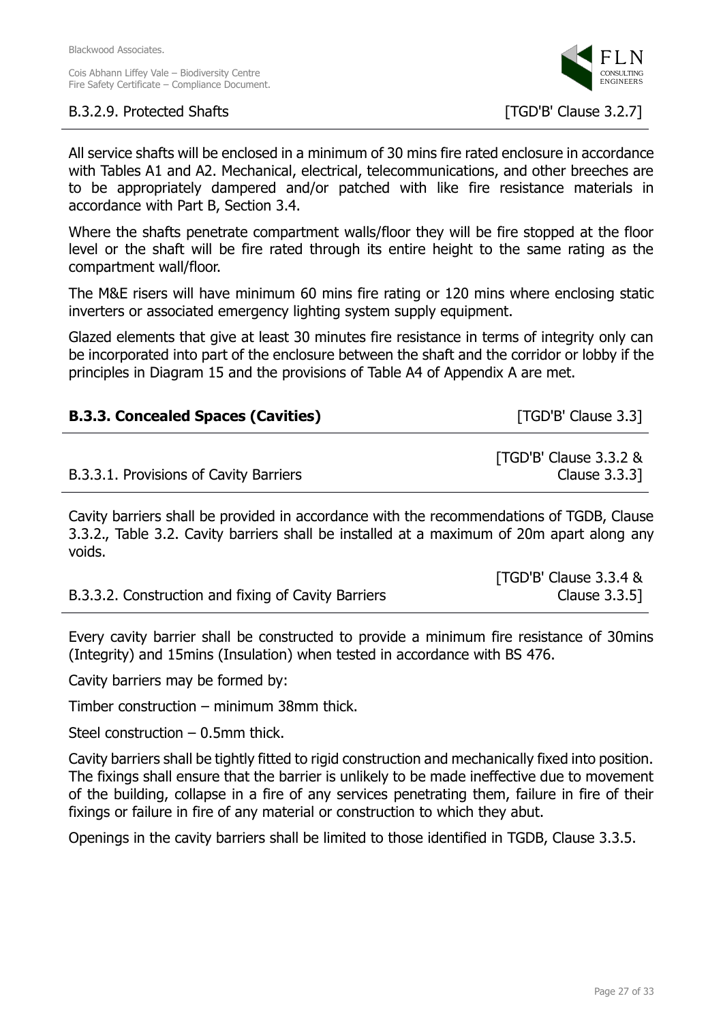### B.3.2.9. Protected Shafts [TGD'B' Clause 3.2.7]



All service shafts will be enclosed in a minimum of 30 mins fire rated enclosure in accordance with Tables A1 and A2. Mechanical, electrical, telecommunications, and other breeches are to be appropriately dampered and/or patched with like fire resistance materials in accordance with Part B, Section 3.4.

Where the shafts penetrate compartment walls/floor they will be fire stopped at the floor level or the shaft will be fire rated through its entire height to the same rating as the compartment wall/floor.

The M&E risers will have minimum 60 mins fire rating or 120 mins where enclosing static inverters or associated emergency lighting system supply equipment.

Glazed elements that give at least 30 minutes fire resistance in terms of integrity only can be incorporated into part of the enclosure between the shaft and the corridor or lobby if the principles in Diagram 15 and the provisions of Table A4 of Appendix A are met.

| <b>B.3.3. Concealed Spaces (Cavities)</b> | [TGD'B' Clause 3.3]                    |
|-------------------------------------------|----------------------------------------|
| B.3.3.1. Provisions of Cavity Barriers    | [TGD'B' Clause 3.3.2 &<br>Clause 3.3.3 |

Cavity barriers shall be provided in accordance with the recommendations of TGDB, Clause 3.3.2., Table 3.2. Cavity barriers shall be installed at a maximum of 20m apart along any voids.

|                                                     | [TGD'B' Clause 3.3.4 & |
|-----------------------------------------------------|------------------------|
| B.3.3.2. Construction and fixing of Cavity Barriers | Clause 3.3.5]          |

Every cavity barrier shall be constructed to provide a minimum fire resistance of 30mins (Integrity) and 15mins (Insulation) when tested in accordance with BS 476.

Cavity barriers may be formed by:

Timber construction – minimum 38mm thick.

Steel construction – 0.5mm thick.

Cavity barriers shall be tightly fitted to rigid construction and mechanically fixed into position. The fixings shall ensure that the barrier is unlikely to be made ineffective due to movement of the building, collapse in a fire of any services penetrating them, failure in fire of their fixings or failure in fire of any material or construction to which they abut.

Openings in the cavity barriers shall be limited to those identified in TGDB, Clause 3.3.5.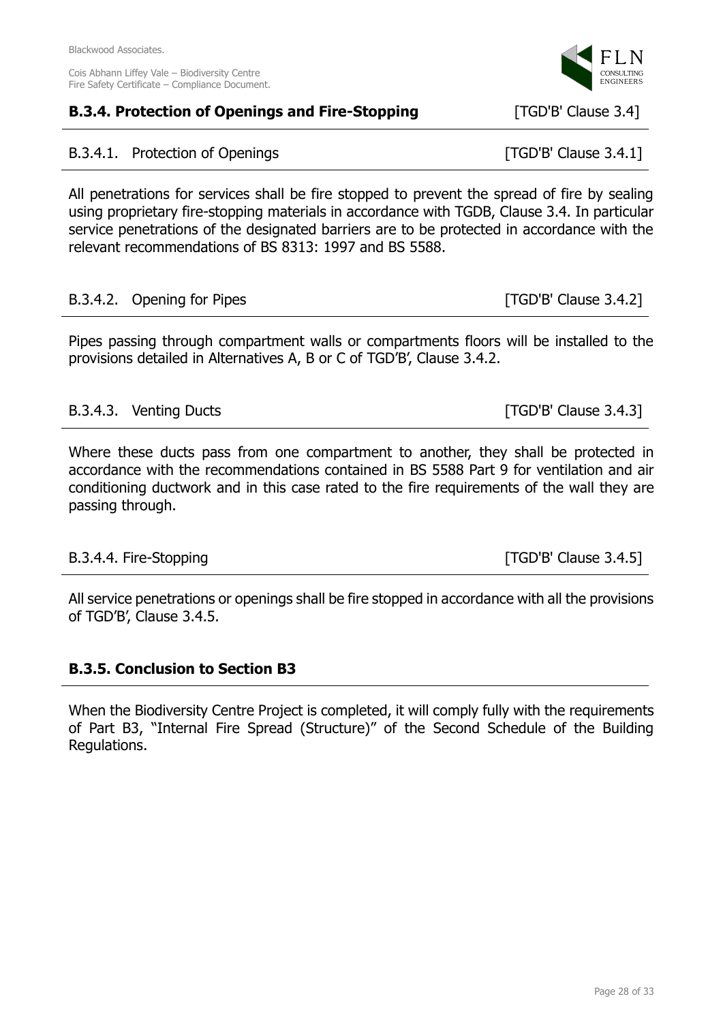# **B.3.4. Protection of Openings and Fire-Stopping [TGD'B' Clause 3.4]**

# B.3.4.1. Protection of Openings **Example 2.4.1** [TGD'B' Clause 3.4.1]

All penetrations for services shall be fire stopped to prevent the spread of fire by sealing using proprietary fire-stopping materials in accordance with TGDB, Clause 3.4. In particular service penetrations of the designated barriers are to be protected in accordance with the relevant recommendations of BS 8313: 1997 and BS 5588.

### B.3.4.2. Opening for Pipes [TGD'B' Clause 3.4.2]

Pipes passing through compartment walls or compartments floors will be installed to the provisions detailed in Alternatives A, B or C of TGD'B', Clause 3.4.2.

### B.3.4.3. Venting Ducts [TGD'B' Clause 3.4.3]

Where these ducts pass from one compartment to another, they shall be protected in accordance with the recommendations contained in BS 5588 Part 9 for ventilation and air conditioning ductwork and in this case rated to the fire requirements of the wall they are passing through.

# B.3.4.4. Fire-Stopping [TGD'B' Clause 3.4.5]

All service penetrations or openings shall be fire stopped in accordance with all the provisions of TGD'B', Clause 3.4.5.

# **B.3.5. Conclusion to Section B3**

When the Biodiversity Centre Project is completed, it will comply fully with the requirements of Part B3, "Internal Fire Spread (Structure)" of the Second Schedule of the Building Regulations.

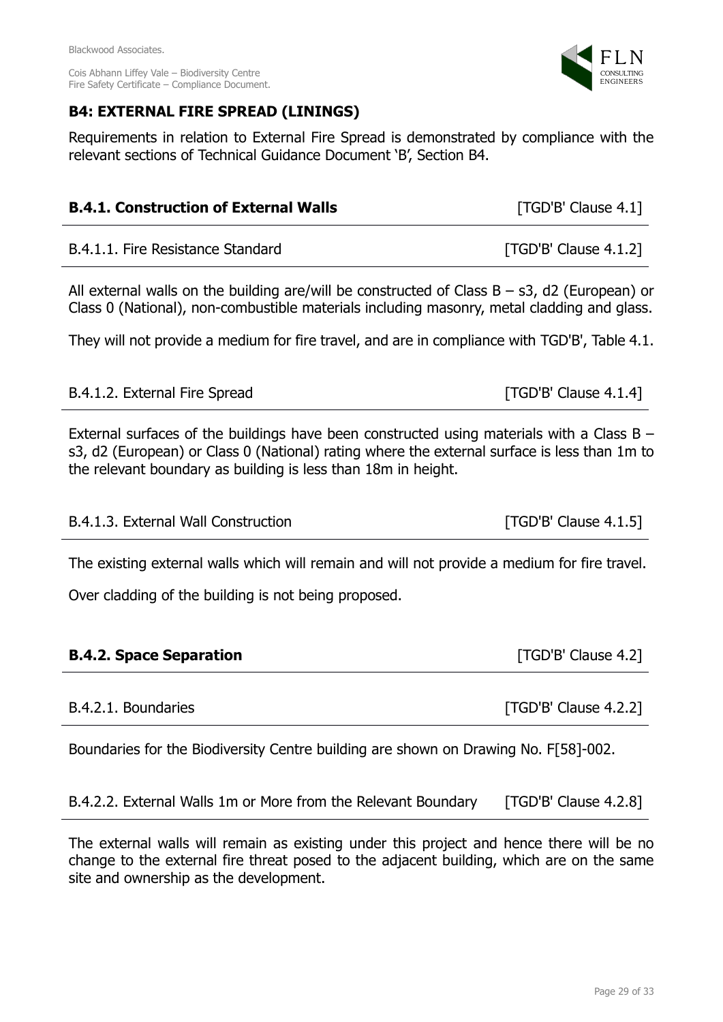### Blackwood Associates. Cois Abhann Liffey Vale – Biodiversity Centre Fire Safety Certificate – Compliance Document.

# **B4: EXTERNAL FIRE SPREAD (LININGS)**

Requirements in relation to External Fire Spread is demonstrated by compliance with the relevant sections of Technical Guidance Document 'B', Section B4.

| <b>B.4.1. Construction of External Walls</b>                                                                                                                                                                                                                 | [TGD'B' Clause 4.1]     |  |  |
|--------------------------------------------------------------------------------------------------------------------------------------------------------------------------------------------------------------------------------------------------------------|-------------------------|--|--|
| B.4.1.1. Fire Resistance Standard                                                                                                                                                                                                                            | $[TGD'B'$ Clause 4.1.2] |  |  |
| All external walls on the building are/will be constructed of Class $B - s3$ , d2 (European) or<br>Class 0 (National), non-combustible materials including masonry, metal cladding and glass.                                                                |                         |  |  |
| They will not provide a medium for fire travel, and are in compliance with TGD'B', Table 4.1.                                                                                                                                                                |                         |  |  |
| B.4.1.2. External Fire Spread                                                                                                                                                                                                                                | $[TGD'B'$ Clause 4.1.4] |  |  |
| External surfaces of the buildings have been constructed using materials with a Class $B -$<br>s3, d2 (European) or Class 0 (National) rating where the external surface is less than 1m to<br>the relevant boundary as building is less than 18m in height. |                         |  |  |
| B.4.1.3. External Wall Construction                                                                                                                                                                                                                          | $[TGD'B'$ Clause 4.1.5] |  |  |
| The ovicting oxternal walls which will remain and will not provide a modium for fire travel                                                                                                                                                                  |                         |  |  |

The existing external walls which will remain and will not provide a medium for fire travel.

Over cladding of the building is not being proposed.

| <b>B.4.2. Space Separation</b> |  |
|--------------------------------|--|
|                                |  |

Boundaries for the Biodiversity Centre building are shown on Drawing No. F[58]-002.

B.4.2.2. External Walls 1m or More from the Relevant Boundary [TGD'B' Clause 4.2.8]

The external walls will remain as existing under this project and hence there will be no change to the external fire threat posed to the adjacent building, which are on the same site and ownership as the development.



**FTGD'B' Clause 4.2]** 

B.4.2.1. Boundaries **EXECUTE:** [TGD'B' Clause 4.2.2]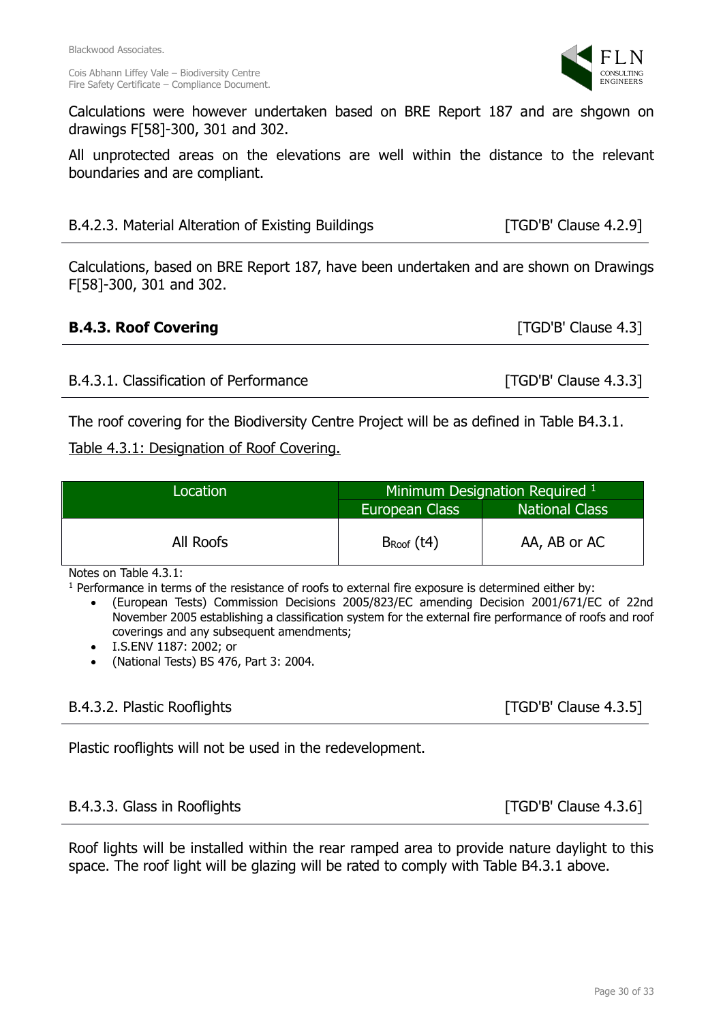Calculations were however undertaken based on BRE Report 187 and are shgown on drawings F[58]-300, 301 and 302.

All unprotected areas on the elevations are well within the distance to the relevant boundaries and are compliant.

Calculations, based on BRE Report 187, have been undertaken and are shown on Drawings F[58]-300, 301 and 302.

# **B.4.3. Roof Covering Example 2.1 and Security Covering EXALGE 2.31**

| The roof covering for the Biodiversity Centre Project will be as defined in Table B4.3.1. |  |  |  |
|-------------------------------------------------------------------------------------------|--|--|--|

B.4.3.1. Classification of Performance [TGD'B' Clause 4.3.3]

# Table 4.3.1: Designation of Roof Covering.

| Location  | Minimum Designation Required 1 |                       |
|-----------|--------------------------------|-----------------------|
|           | European Class                 | <b>National Class</b> |
| All Roofs | $B_{Root}$ (t4)                | AA, AB or AC          |

Notes on Table 4.3.1:

<sup>1</sup> Performance in terms of the resistance of roofs to external fire exposure is determined either by:

• (European Tests) Commission Decisions 2005/823/EC amending Decision 2001/671/EC of 22nd November 2005 establishing a classification system for the external fire performance of roofs and roof coverings and any subsequent amendments;

- I.S.ENV 1187: 2002; or
- (National Tests) BS 476, Part 3: 2004.

# B.4.3.2. Plastic Rooflights [TGD'B' Clause 4.3.5]

Plastic rooflights will not be used in the redevelopment.

# B.4.3.3. Glass in Rooflights **Example 2.3.6** [TGD'B' Clause 4.3.6]

Roof lights will be installed within the rear ramped area to provide nature daylight to this space. The roof light will be glazing will be rated to comply with Table B4.3.1 above.

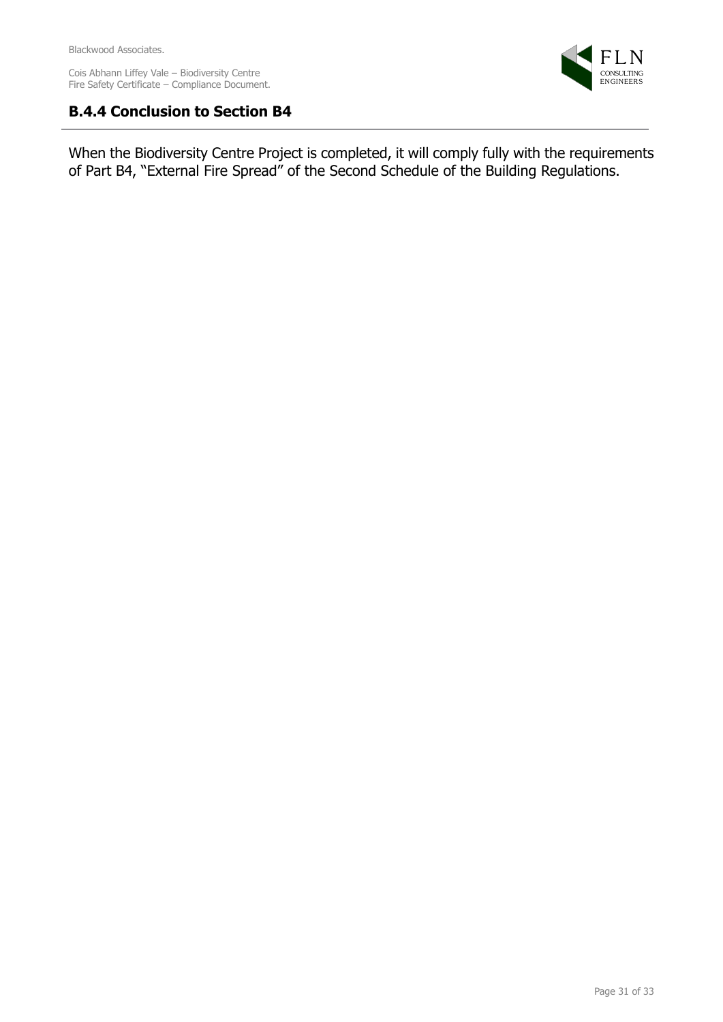

# **B.4.4 Conclusion to Section B4**

When the Biodiversity Centre Project is completed, it will comply fully with the requirements of Part B4, "External Fire Spread" of the Second Schedule of the Building Regulations.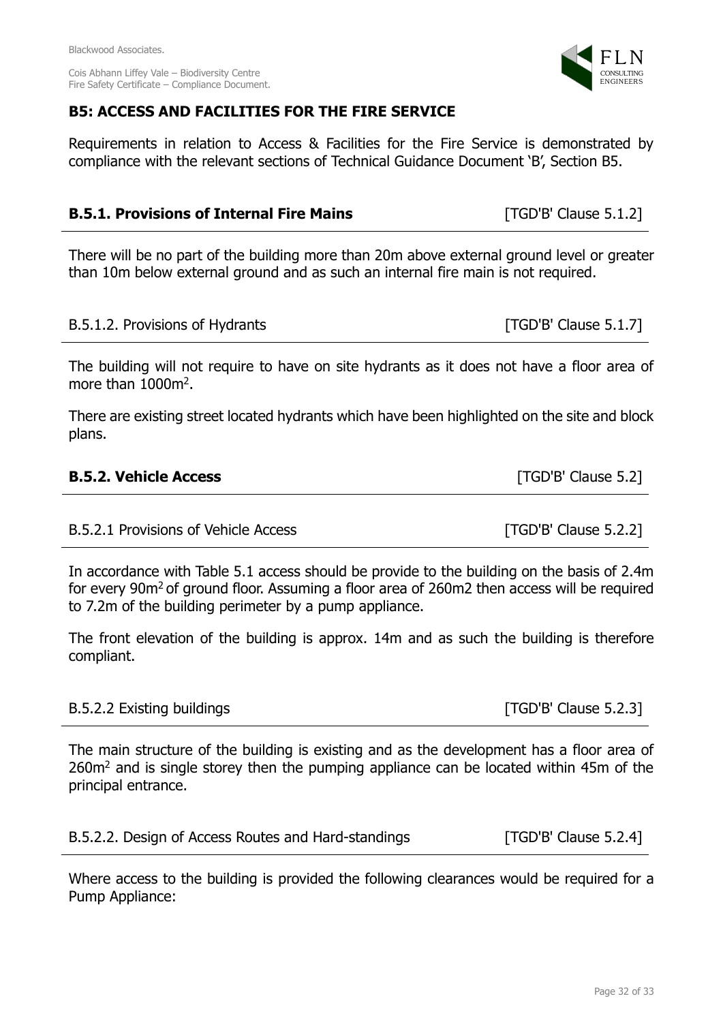Fire Safety Certificate – Compliance Document.

# **B5: ACCESS AND FACILITIES FOR THE FIRE SERVICE**

Requirements in relation to Access & Facilities for the Fire Service is demonstrated by compliance with the relevant sections of Technical Guidance Document 'B', Section B5.

# **B.5.1. Provisions of Internal Fire Mains** [TGD'B' Clause 5.1.2]

There will be no part of the building more than 20m above external ground level or greater than 10m below external ground and as such an internal fire main is not required.

### B.5.1.2. Provisions of Hydrants [TGD'B' Clause 5.1.7]

The building will not require to have on site hydrants as it does not have a floor area of more than 1000m<sup>2</sup>.

There are existing street located hydrants which have been highlighted on the site and block plans.

B.5.2.1 Provisions of Vehicle Access [TGD'B' Clause 5.2.2]

In accordance with Table 5.1 access should be provide to the building on the basis of 2.4m for every 90m<sup>2</sup> of ground floor. Assuming a floor area of 260m2 then access will be required to 7.2m of the building perimeter by a pump appliance.

The front elevation of the building is approx. 14m and as such the building is therefore compliant.

### B.5.2.2 Existing buildings **Existing** buildings **and the set of the set of the set of the set of the set of the set of the set of the set of the set of the set of the set of the set of the set of the set of the set of the**

The main structure of the building is existing and as the development has a floor area of 260m<sup>2</sup> and is single storey then the pumping appliance can be located within 45m of the principal entrance.

Where access to the building is provided the following clearances would be required for a Pump Appliance:

[TGD'B' Clause 5.2]



B.5.2.2. Design of Access Routes and Hard-standings [TGD'B' Clause 5.2.4]